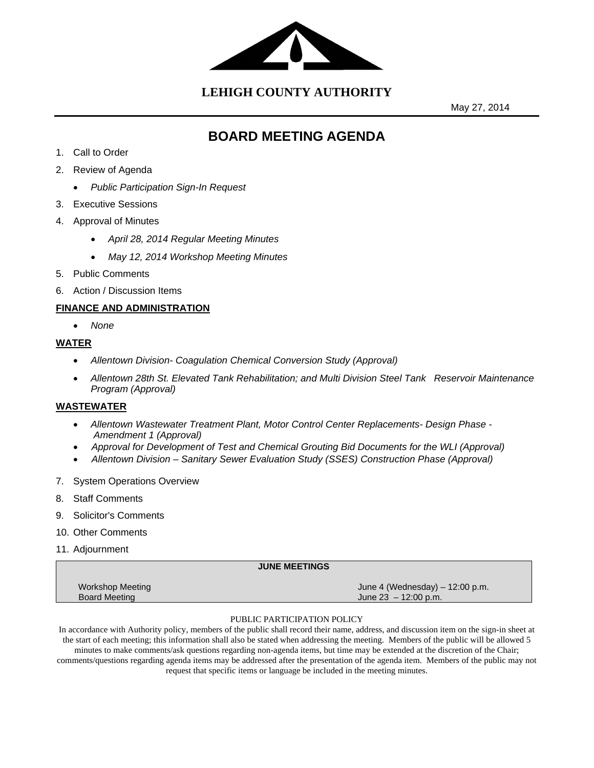

**LEHIGH COUNTY AUTHORITY**

May 27, 2014

# **BOARD MEETING AGENDA**

- 1. Call to Order
- 2. Review of Agenda
	- *Public Participation Sign-In Request*
- 3. Executive Sessions
- 4. Approval of Minutes
	- *April 28, 2014 Regular Meeting Minutes*
	- *May 12, 2014 Workshop Meeting Minutes*
- 5. Public Comments
- 6. Action / Discussion Items

# **FINANCE AND ADMINISTRATION**

*None* 

# **WATER**

- *Allentown Division- Coagulation Chemical Conversion Study (Approval)*
- *Allentown 28th St. Elevated Tank Rehabilitation; and Multi Division Steel Tank Reservoir Maintenance Program (Approval)*

### **WASTEWATER**

- *Allentown Wastewater Treatment Plant, Motor Control Center Replacements- Design Phase Amendment 1 (Approval)*
- **•** Approval for Development of Test and Chemical Grouting Bid Documents for the WLI (Approval)
- *Allentown Division Sanitary Sewer Evaluation Study (SSES) Construction Phase (Approval)*
- 7. System Operations Overview
- 8. Staff Comments
- 9. Solicitor's Comments
- 10. Other Comments
- 11. Adjournment

|                      | <b>JUNE MEETINGS</b>              |
|----------------------|-----------------------------------|
| Workshop Meeting     | June 4 (Wednesday) $-$ 12:00 p.m. |
| <b>Board Meeting</b> | June $23 - 12:00$ p.m.            |

#### PUBLIC PARTICIPATION POLICY

In accordance with Authority policy, members of the public shall record their name, address, and discussion item on the sign-in sheet at the start of each meeting; this information shall also be stated when addressing the meeting. Members of the public will be allowed 5 minutes to make comments/ask questions regarding non-agenda items, but time may be extended at the discretion of the Chair; comments/questions regarding agenda items may be addressed after the presentation of the agenda item. Members of the public may not request that specific items or language be included in the meeting minutes.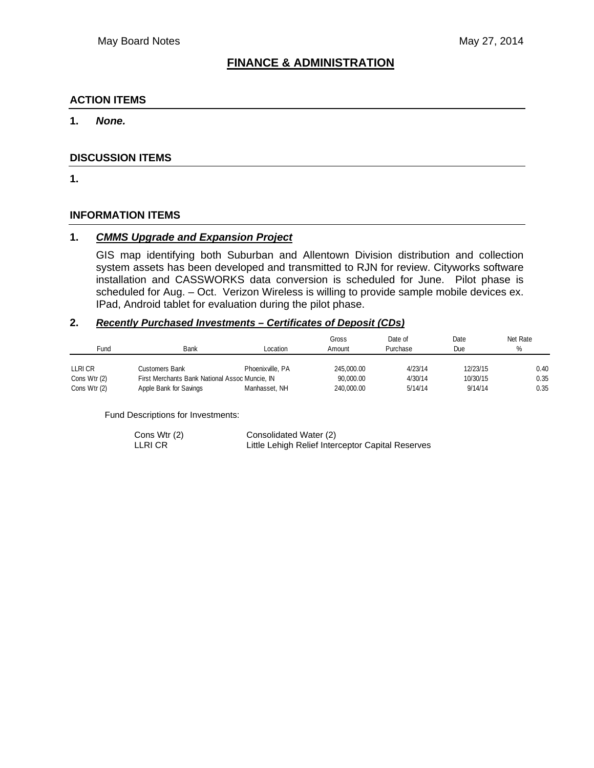# **FINANCE & ADMINISTRATION**

# **ACTION ITEMS**

# **1.** *None.*

# **DISCUSSION ITEMS**

**1.** 

# **INFORMATION ITEMS**

# **1.** *CMMS Upgrade and Expansion Project*

GIS map identifying both Suburban and Allentown Division distribution and collection system assets has been developed and transmitted to RJN for review. Cityworks software installation and CASSWORKS data conversion is scheduled for June. Pilot phase is scheduled for Aug. – Oct. Verizon Wireless is willing to provide sample mobile devices ex. IPad, Android tablet for evaluation during the pilot phase.

# **2.** *Recently Purchased Investments – Certificates of Deposit (CDs)*

| Fund         | Bank                                           | Location         | Gross<br>Amount | Date of<br>Purchase | Date<br>Due | Net Rate<br>% |
|--------------|------------------------------------------------|------------------|-----------------|---------------------|-------------|---------------|
| LLRI CR      | Customers Bank                                 | Phoenixville, PA | 245,000.00      | 4/23/14             | 12/23/15    | 0.40          |
| Cons Wtr (2) | First Merchants Bank National Assoc Muncie, IN |                  | 90,000.00       | 4/30/14             | 10/30/15    | 0.35          |
| Cons Wtr (2) | Apple Bank for Savings                         | Manhasset, NH    | 240,000.00      | 5/14/14             | 9/14/14     | 0.35          |

Fund Descriptions for Investments:

| Cons Wtr (2) | Consolidated Water (2)                            |
|--------------|---------------------------------------------------|
| LLRI CR      | Little Lehigh Relief Interceptor Capital Reserves |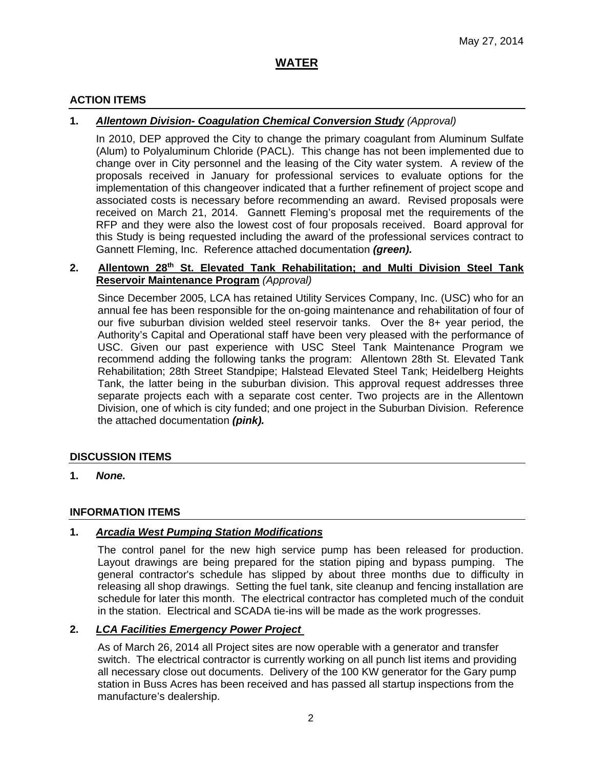# **ACTION ITEMS**

# **1.** *Allentown Division- Coagulation Chemical Conversion Study (Approval)*

In 2010, DEP approved the City to change the primary coagulant from Aluminum Sulfate (Alum) to Polyaluminum Chloride (PACL). This change has not been implemented due to change over in City personnel and the leasing of the City water system. A review of the proposals received in January for professional services to evaluate options for the implementation of this changeover indicated that a further refinement of project scope and associated costs is necessary before recommending an award. Revised proposals were received on March 21, 2014. Gannett Fleming's proposal met the requirements of the RFP and they were also the lowest cost of four proposals received. Board approval for this Study is being requested including the award of the professional services contract to Gannett Fleming, Inc. Reference attached documentation *(green).* 

# **2. Allentown 28th St. Elevated Tank Rehabilitation; and Multi Division Steel Tank Reservoir Maintenance Program** *(Approval)*

Since December 2005, LCA has retained Utility Services Company, Inc. (USC) who for an annual fee has been responsible for the on-going maintenance and rehabilitation of four of our five suburban division welded steel reservoir tanks. Over the 8+ year period, the Authority's Capital and Operational staff have been very pleased with the performance of USC. Given our past experience with USC Steel Tank Maintenance Program we recommend adding the following tanks the program: Allentown 28th St. Elevated Tank Rehabilitation; 28th Street Standpipe; Halstead Elevated Steel Tank; Heidelberg Heights Tank, the latter being in the suburban division. This approval request addresses three separate projects each with a separate cost center. Two projects are in the Allentown Division, one of which is city funded; and one project in the Suburban Division. Reference the attached documentation *(pink).* 

#### **DISCUSSION ITEMS**

**1.** *None.*

#### **INFORMATION ITEMS**

#### **1.** *Arcadia West Pumping Station Modifications*

The control panel for the new high service pump has been released for production. Layout drawings are being prepared for the station piping and bypass pumping. The general contractor's schedule has slipped by about three months due to difficulty in releasing all shop drawings. Setting the fuel tank, site cleanup and fencing installation are schedule for later this month. The electrical contractor has completed much of the conduit in the station. Electrical and SCADA tie-ins will be made as the work progresses.

#### **2.** *LCA Facilities Emergency Power Project*

As of March 26, 2014 all Project sites are now operable with a generator and transfer switch. The electrical contractor is currently working on all punch list items and providing all necessary close out documents. Delivery of the 100 KW generator for the Gary pump station in Buss Acres has been received and has passed all startup inspections from the manufacture's dealership.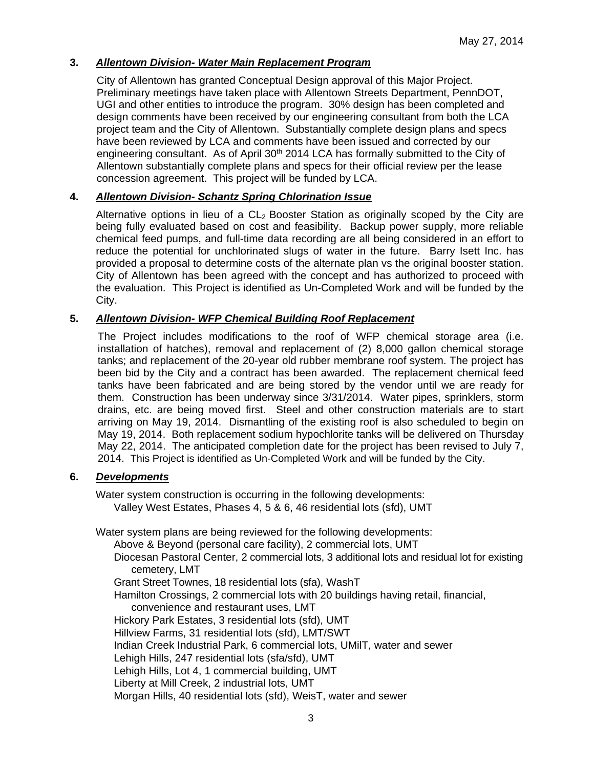# **3.** *Allentown Division- Water Main Replacement Program*

City of Allentown has granted Conceptual Design approval of this Major Project. Preliminary meetings have taken place with Allentown Streets Department, PennDOT, UGI and other entities to introduce the program. 30% design has been completed and design comments have been received by our engineering consultant from both the LCA project team and the City of Allentown. Substantially complete design plans and specs have been reviewed by LCA and comments have been issued and corrected by our engineering consultant. As of April  $30<sup>th</sup>$  2014 LCA has formally submitted to the City of Allentown substantially complete plans and specs for their official review per the lease concession agreement. This project will be funded by LCA.

# **4.** *Allentown Division- Schantz Spring Chlorination Issue*

Alternative options in lieu of a  $CL<sub>2</sub>$  Booster Station as originally scoped by the City are being fully evaluated based on cost and feasibility. Backup power supply, more reliable chemical feed pumps, and full-time data recording are all being considered in an effort to reduce the potential for unchlorinated slugs of water in the future. Barry Isett Inc. has provided a proposal to determine costs of the alternate plan vs the original booster station. City of Allentown has been agreed with the concept and has authorized to proceed with the evaluation. This Project is identified as Un-Completed Work and will be funded by the City.

# **5.** *Allentown Division- WFP Chemical Building Roof Replacement*

The Project includes modifications to the roof of WFP chemical storage area (i.e. installation of hatches), removal and replacement of (2) 8,000 gallon chemical storage tanks; and replacement of the 20-year old rubber membrane roof system. The project has been bid by the City and a contract has been awarded. The replacement chemical feed tanks have been fabricated and are being stored by the vendor until we are ready for them. Construction has been underway since 3/31/2014. Water pipes, sprinklers, storm drains, etc. are being moved first. Steel and other construction materials are to start arriving on May 19, 2014. Dismantling of the existing roof is also scheduled to begin on May 19, 2014. Both replacement sodium hypochlorite tanks will be delivered on Thursday May 22, 2014. The anticipated completion date for the project has been revised to July 7, 2014. This Project is identified as Un-Completed Work and will be funded by the City.

# **6.** *Developments*

Water system construction is occurring in the following developments: Valley West Estates, Phases 4, 5 & 6, 46 residential lots (sfd), UMT

Water system plans are being reviewed for the following developments:

Above & Beyond (personal care facility), 2 commercial lots, UMT

Diocesan Pastoral Center, 2 commercial lots, 3 additional lots and residual lot for existing cemetery, LMT

Grant Street Townes, 18 residential lots (sfa), WashT

Hamilton Crossings, 2 commercial lots with 20 buildings having retail, financial,

convenience and restaurant uses, LMT

Hickory Park Estates, 3 residential lots (sfd), UMT

Hillview Farms, 31 residential lots (sfd), LMT/SWT

Indian Creek Industrial Park, 6 commercial lots, UMilT, water and sewer

Lehigh Hills, 247 residential lots (sfa/sfd), UMT

Lehigh Hills, Lot 4, 1 commercial building, UMT

Liberty at Mill Creek, 2 industrial lots, UMT

Morgan Hills, 40 residential lots (sfd), WeisT, water and sewer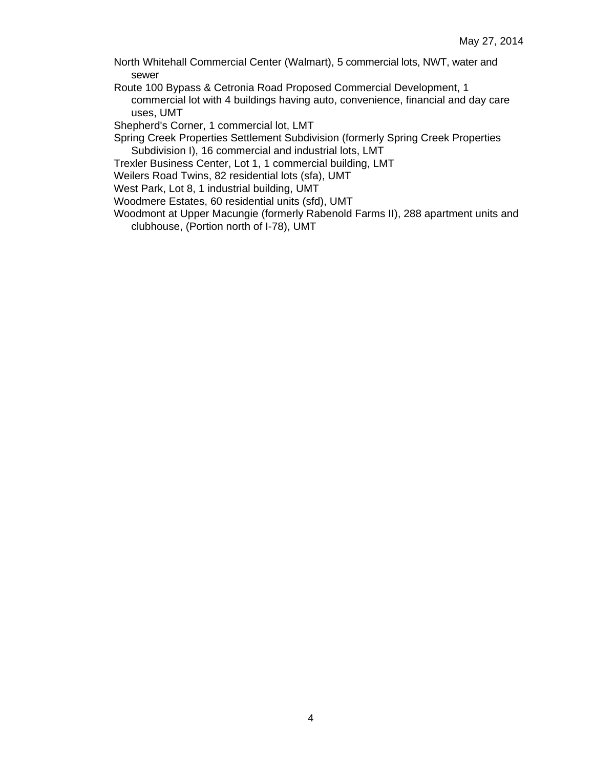North Whitehall Commercial Center (Walmart), 5 commercial lots, NWT, water and sewer

Route 100 Bypass & Cetronia Road Proposed Commercial Development, 1 commercial lot with 4 buildings having auto, convenience, financial and day care uses, UMT

Shepherd's Corner, 1 commercial lot, LMT

Spring Creek Properties Settlement Subdivision (formerly Spring Creek Properties Subdivision I), 16 commercial and industrial lots, LMT

Trexler Business Center, Lot 1, 1 commercial building, LMT

Weilers Road Twins, 82 residential lots (sfa), UMT

West Park, Lot 8, 1 industrial building, UMT

Woodmere Estates, 60 residential units (sfd), UMT

Woodmont at Upper Macungie (formerly Rabenold Farms II), 288 apartment units and clubhouse, (Portion north of I-78), UMT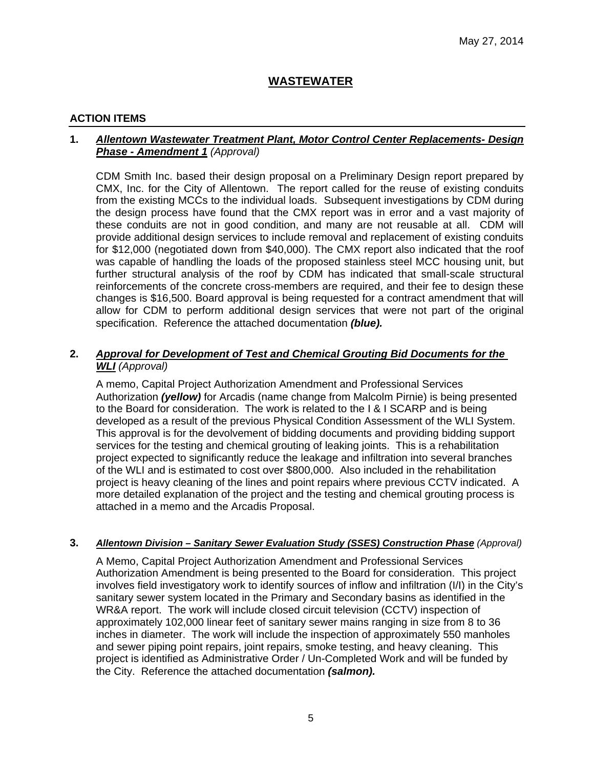# **WASTEWATER**

# **ACTION ITEMS**

# **1.** *Allentown Wastewater Treatment Plant, Motor Control Center Replacements- Design Phase - Amendment 1 (Approval)*

CDM Smith Inc. based their design proposal on a Preliminary Design report prepared by CMX, Inc. for the City of Allentown. The report called for the reuse of existing conduits from the existing MCCs to the individual loads. Subsequent investigations by CDM during the design process have found that the CMX report was in error and a vast majority of these conduits are not in good condition, and many are not reusable at all. CDM will provide additional design services to include removal and replacement of existing conduits for \$12,000 (negotiated down from \$40,000). The CMX report also indicated that the roof was capable of handling the loads of the proposed stainless steel MCC housing unit, but further structural analysis of the roof by CDM has indicated that small-scale structural reinforcements of the concrete cross-members are required, and their fee to design these changes is \$16,500. Board approval is being requested for a contract amendment that will allow for CDM to perform additional design services that were not part of the original specification. Reference the attached documentation *(blue).* 

# **2.** *Approval for Development of Test and Chemical Grouting Bid Documents for the WLI (Approval)*

A memo, Capital Project Authorization Amendment and Professional Services Authorization *(yellow)* for Arcadis (name change from Malcolm Pirnie) is being presented to the Board for consideration. The work is related to the I & I SCARP and is being developed as a result of the previous Physical Condition Assessment of the WLI System. This approval is for the devolvement of bidding documents and providing bidding support services for the testing and chemical grouting of leaking joints. This is a rehabilitation project expected to significantly reduce the leakage and infiltration into several branches of the WLI and is estimated to cost over \$800,000. Also included in the rehabilitation project is heavy cleaning of the lines and point repairs where previous CCTV indicated. A more detailed explanation of the project and the testing and chemical grouting process is attached in a memo and the Arcadis Proposal.

#### **3.** *Allentown Division – Sanitary Sewer Evaluation Study (SSES) Construction Phase (Approval)*

A Memo, Capital Project Authorization Amendment and Professional Services Authorization Amendment is being presented to the Board for consideration. This project involves field investigatory work to identify sources of inflow and infiltration (I/I) in the City's sanitary sewer system located in the Primary and Secondary basins as identified in the WR&A report. The work will include closed circuit television (CCTV) inspection of approximately 102,000 linear feet of sanitary sewer mains ranging in size from 8 to 36 inches in diameter. The work will include the inspection of approximately 550 manholes and sewer piping point repairs, joint repairs, smoke testing, and heavy cleaning. This project is identified as Administrative Order / Un-Completed Work and will be funded by the City. Reference the attached documentation *(salmon).*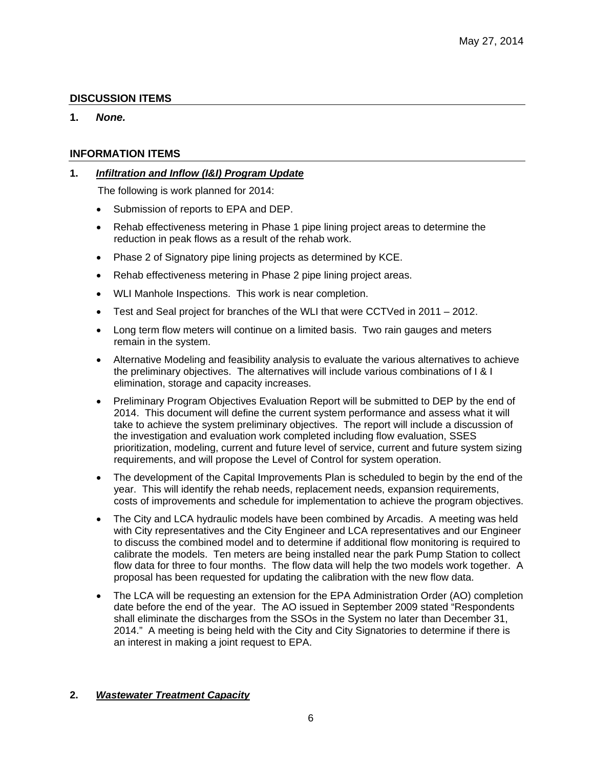# **DISCUSSION ITEMS**

# **1.** *None.*

# **INFORMATION ITEMS**

# **1.** *Infiltration and Inflow (I&I) Program Update*

The following is work planned for 2014:

- Submission of reports to EPA and DEP.
- Rehab effectiveness metering in Phase 1 pipe lining project areas to determine the reduction in peak flows as a result of the rehab work.
- Phase 2 of Signatory pipe lining projects as determined by KCE.
- Rehab effectiveness metering in Phase 2 pipe lining project areas.
- WLI Manhole Inspections. This work is near completion.
- Test and Seal project for branches of the WLI that were CCTVed in 2011 2012.
- Long term flow meters will continue on a limited basis. Two rain gauges and meters remain in the system.
- Alternative Modeling and feasibility analysis to evaluate the various alternatives to achieve the preliminary objectives. The alternatives will include various combinations of I & I elimination, storage and capacity increases.
- Preliminary Program Objectives Evaluation Report will be submitted to DEP by the end of 2014. This document will define the current system performance and assess what it will take to achieve the system preliminary objectives. The report will include a discussion of the investigation and evaluation work completed including flow evaluation, SSES prioritization, modeling, current and future level of service, current and future system sizing requirements, and will propose the Level of Control for system operation.
- The development of the Capital Improvements Plan is scheduled to begin by the end of the year. This will identify the rehab needs, replacement needs, expansion requirements, costs of improvements and schedule for implementation to achieve the program objectives.
- The City and LCA hydraulic models have been combined by Arcadis. A meeting was held with City representatives and the City Engineer and LCA representatives and our Engineer to discuss the combined model and to determine if additional flow monitoring is required to calibrate the models. Ten meters are being installed near the park Pump Station to collect flow data for three to four months. The flow data will help the two models work together. A proposal has been requested for updating the calibration with the new flow data.
- The LCA will be requesting an extension for the EPA Administration Order (AO) completion date before the end of the year. The AO issued in September 2009 stated "Respondents shall eliminate the discharges from the SSOs in the System no later than December 31, 2014." A meeting is being held with the City and City Signatories to determine if there is an interest in making a joint request to EPA.

#### **2.** *Wastewater Treatment Capacity*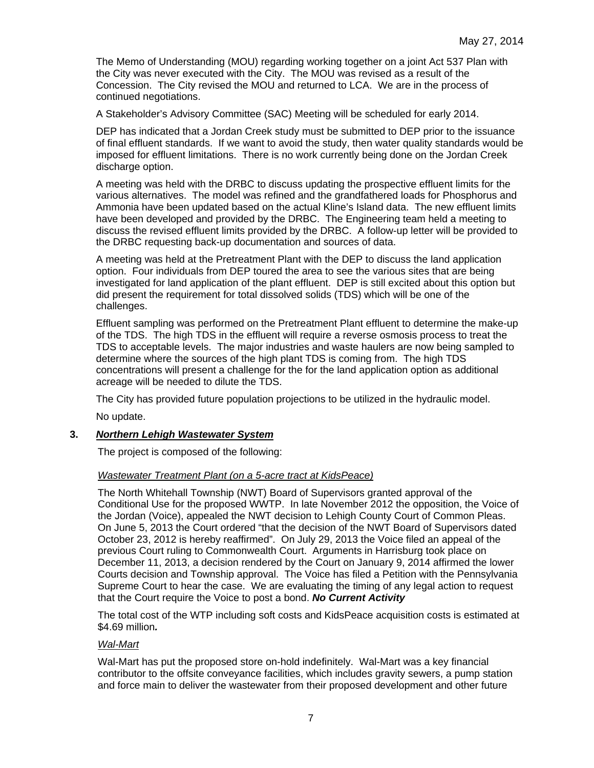The Memo of Understanding (MOU) regarding working together on a joint Act 537 Plan with the City was never executed with the City. The MOU was revised as a result of the Concession. The City revised the MOU and returned to LCA. We are in the process of continued negotiations.

A Stakeholder's Advisory Committee (SAC) Meeting will be scheduled for early 2014.

DEP has indicated that a Jordan Creek study must be submitted to DEP prior to the issuance of final effluent standards. If we want to avoid the study, then water quality standards would be imposed for effluent limitations. There is no work currently being done on the Jordan Creek discharge option.

A meeting was held with the DRBC to discuss updating the prospective effluent limits for the various alternatives. The model was refined and the grandfathered loads for Phosphorus and Ammonia have been updated based on the actual Kline's Island data. The new effluent limits have been developed and provided by the DRBC. The Engineering team held a meeting to discuss the revised effluent limits provided by the DRBC. A follow-up letter will be provided to the DRBC requesting back-up documentation and sources of data.

A meeting was held at the Pretreatment Plant with the DEP to discuss the land application option. Four individuals from DEP toured the area to see the various sites that are being investigated for land application of the plant effluent. DEP is still excited about this option but did present the requirement for total dissolved solids (TDS) which will be one of the challenges.

Effluent sampling was performed on the Pretreatment Plant effluent to determine the make-up of the TDS. The high TDS in the effluent will require a reverse osmosis process to treat the TDS to acceptable levels. The major industries and waste haulers are now being sampled to determine where the sources of the high plant TDS is coming from. The high TDS concentrations will present a challenge for the for the land application option as additional acreage will be needed to dilute the TDS.

The City has provided future population projections to be utilized in the hydraulic model.

No update.

#### **3.** *Northern Lehigh Wastewater System*

The project is composed of the following:

#### *Wastewater Treatment Plant (on a 5-acre tract at KidsPeace)*

The North Whitehall Township (NWT) Board of Supervisors granted approval of the Conditional Use for the proposed WWTP. In late November 2012 the opposition, the Voice of the Jordan (Voice), appealed the NWT decision to Lehigh County Court of Common Pleas. On June 5, 2013 the Court ordered "that the decision of the NWT Board of Supervisors dated October 23, 2012 is hereby reaffirmed". On July 29, 2013 the Voice filed an appeal of the previous Court ruling to Commonwealth Court. Arguments in Harrisburg took place on December 11, 2013, a decision rendered by the Court on January 9, 2014 affirmed the lower Courts decision and Township approval. The Voice has filed a Petition with the Pennsylvania Supreme Court to hear the case. We are evaluating the timing of any legal action to request that the Court require the Voice to post a bond. *No Current Activity*

The total cost of the WTP including soft costs and KidsPeace acquisition costs is estimated at \$4.69 million*.* 

#### *Wal-Mart*

Wal-Mart has put the proposed store on-hold indefinitely. Wal-Mart was a key financial contributor to the offsite conveyance facilities, which includes gravity sewers, a pump station and force main to deliver the wastewater from their proposed development and other future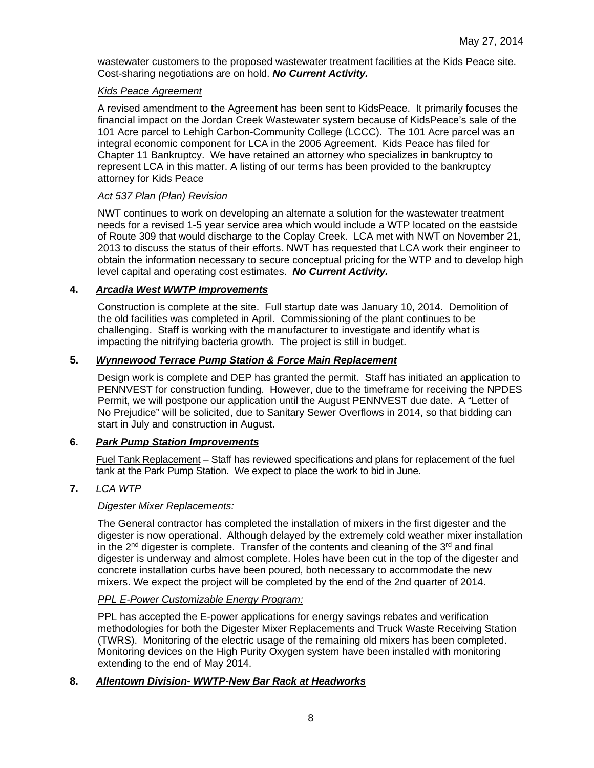wastewater customers to the proposed wastewater treatment facilities at the Kids Peace site. Cost-sharing negotiations are on hold. *No Current Activity.*

### *Kids Peace Agreement*

A revised amendment to the Agreement has been sent to KidsPeace. It primarily focuses the financial impact on the Jordan Creek Wastewater system because of KidsPeace's sale of the 101 Acre parcel to Lehigh Carbon-Community College (LCCC). The 101 Acre parcel was an integral economic component for LCA in the 2006 Agreement. Kids Peace has filed for Chapter 11 Bankruptcy. We have retained an attorney who specializes in bankruptcy to represent LCA in this matter. A listing of our terms has been provided to the bankruptcy attorney for Kids Peace

# *Act 537 Plan (Plan) Revision*

NWT continues to work on developing an alternate a solution for the wastewater treatment needs for a revised 1-5 year service area which would include a WTP located on the eastside of Route 309 that would discharge to the Coplay Creek. LCA met with NWT on November 21, 2013 to discuss the status of their efforts. NWT has requested that LCA work their engineer to obtain the information necessary to secure conceptual pricing for the WTP and to develop high level capital and operating cost estimates. *No Current Activity.*

# **4.** *Arcadia West WWTP Improvements*

Construction is complete at the site. Full startup date was January 10, 2014. Demolition of the old facilities was completed in April. Commissioning of the plant continues to be challenging. Staff is working with the manufacturer to investigate and identify what is impacting the nitrifying bacteria growth. The project is still in budget.

# **5.** *Wynnewood Terrace Pump Station & Force Main Replacement*

Design work is complete and DEP has granted the permit. Staff has initiated an application to PENNVEST for construction funding. However, due to the timeframe for receiving the NPDES Permit, we will postpone our application until the August PENNVEST due date. A "Letter of No Prejudice" will be solicited, due to Sanitary Sewer Overflows in 2014, so that bidding can start in July and construction in August.

# **6.** *Park Pump Station Improvements*

Fuel Tank Replacement – Staff has reviewed specifications and plans for replacement of the fuel tank at the Park Pump Station. We expect to place the work to bid in June.

# **7.** *LCA WTP*

# *Digester Mixer Replacements:*

The General contractor has completed the installation of mixers in the first digester and the digester is now operational. Although delayed by the extremely cold weather mixer installation in the  $2^{nd}$  digester is complete. Transfer of the contents and cleaning of the  $3^{rd}$  and final digester is underway and almost complete. Holes have been cut in the top of the digester and concrete installation curbs have been poured, both necessary to accommodate the new mixers. We expect the project will be completed by the end of the 2nd quarter of 2014.

#### *PPL E-Power Customizable Energy Program:*

PPL has accepted the E-power applications for energy savings rebates and verification methodologies for both the Digester Mixer Replacements and Truck Waste Receiving Station (TWRS). Monitoring of the electric usage of the remaining old mixers has been completed. Monitoring devices on the High Purity Oxygen system have been installed with monitoring extending to the end of May 2014.

# **8.** *Allentown Division- WWTP-New Bar Rack at Headworks*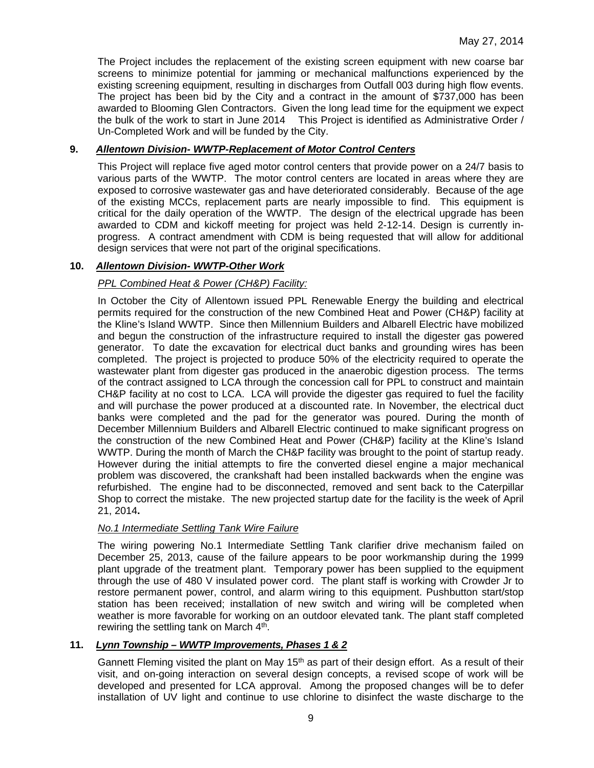The Project includes the replacement of the existing screen equipment with new coarse bar screens to minimize potential for jamming or mechanical malfunctions experienced by the existing screening equipment, resulting in discharges from Outfall 003 during high flow events. The project has been bid by the City and a contract in the amount of \$737,000 has been awarded to Blooming Glen Contractors. Given the long lead time for the equipment we expect the bulk of the work to start in June 2014 This Project is identified as Administrative Order / Un-Completed Work and will be funded by the City.

# **9.** *Allentown Division- WWTP-Replacement of Motor Control Centers*

This Project will replace five aged motor control centers that provide power on a 24/7 basis to various parts of the WWTP. The motor control centers are located in areas where they are exposed to corrosive wastewater gas and have deteriorated considerably. Because of the age of the existing MCCs, replacement parts are nearly impossible to find. This equipment is critical for the daily operation of the WWTP. The design of the electrical upgrade has been awarded to CDM and kickoff meeting for project was held 2-12-14. Design is currently inprogress. A contract amendment with CDM is being requested that will allow for additional design services that were not part of the original specifications.

# **10.** *Allentown Division- WWTP-Other Work*

# *PPL Combined Heat & Power (CH&P) Facility:*

In October the City of Allentown issued PPL Renewable Energy the building and electrical permits required for the construction of the new Combined Heat and Power (CH&P) facility at the Kline's Island WWTP. Since then Millennium Builders and Albarell Electric have mobilized and begun the construction of the infrastructure required to install the digester gas powered generator. To date the excavation for electrical duct banks and grounding wires has been completed. The project is projected to produce 50% of the electricity required to operate the wastewater plant from digester gas produced in the anaerobic digestion process. The terms of the contract assigned to LCA through the concession call for PPL to construct and maintain CH&P facility at no cost to LCA. LCA will provide the digester gas required to fuel the facility and will purchase the power produced at a discounted rate. In November, the electrical duct banks were completed and the pad for the generator was poured. During the month of December Millennium Builders and Albarell Electric continued to make significant progress on the construction of the new Combined Heat and Power (CH&P) facility at the Kline's Island WWTP. During the month of March the CH&P facility was brought to the point of startup ready. However during the initial attempts to fire the converted diesel engine a major mechanical problem was discovered, the crankshaft had been installed backwards when the engine was refurbished. The engine had to be disconnected, removed and sent back to the Caterpillar Shop to correct the mistake. The new projected startup date for the facility is the week of April 21, 2014**.**

#### *No.1 Intermediate Settling Tank Wire Failure*

The wiring powering No.1 Intermediate Settling Tank clarifier drive mechanism failed on December 25, 2013, cause of the failure appears to be poor workmanship during the 1999 plant upgrade of the treatment plant. Temporary power has been supplied to the equipment through the use of 480 V insulated power cord. The plant staff is working with Crowder Jr to restore permanent power, control, and alarm wiring to this equipment. Pushbutton start/stop station has been received; installation of new switch and wiring will be completed when weather is more favorable for working on an outdoor elevated tank. The plant staff completed rewiring the settling tank on March 4<sup>th</sup>.

### **11.** *Lynn Township – WWTP Improvements, Phases 1 & 2*

Gannett Fleming visited the plant on May 15<sup>th</sup> as part of their design effort. As a result of their visit, and on-going interaction on several design concepts, a revised scope of work will be developed and presented for LCA approval. Among the proposed changes will be to defer installation of UV light and continue to use chlorine to disinfect the waste discharge to the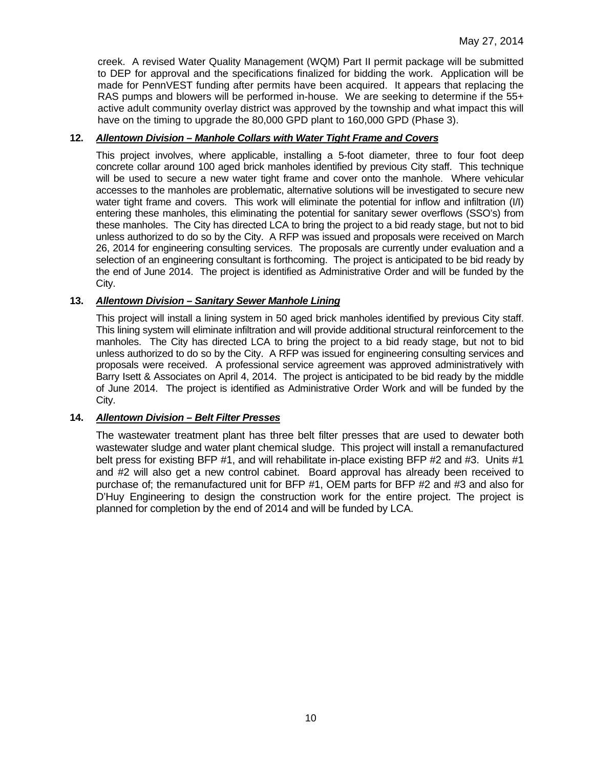creek. A revised Water Quality Management (WQM) Part II permit package will be submitted to DEP for approval and the specifications finalized for bidding the work. Application will be made for PennVEST funding after permits have been acquired. It appears that replacing the RAS pumps and blowers will be performed in-house. We are seeking to determine if the 55+ active adult community overlay district was approved by the township and what impact this will have on the timing to upgrade the 80,000 GPD plant to 160,000 GPD (Phase 3).

#### **12.** *Allentown Division – Manhole Collars with Water Tight Frame and Covers*

This project involves, where applicable, installing a 5-foot diameter, three to four foot deep concrete collar around 100 aged brick manholes identified by previous City staff. This technique will be used to secure a new water tight frame and cover onto the manhole. Where vehicular accesses to the manholes are problematic, alternative solutions will be investigated to secure new water tight frame and covers. This work will eliminate the potential for inflow and infiltration (I/I) entering these manholes, this eliminating the potential for sanitary sewer overflows (SSO's) from these manholes. The City has directed LCA to bring the project to a bid ready stage, but not to bid unless authorized to do so by the City. A RFP was issued and proposals were received on March 26, 2014 for engineering consulting services. The proposals are currently under evaluation and a selection of an engineering consultant is forthcoming. The project is anticipated to be bid ready by the end of June 2014. The project is identified as Administrative Order and will be funded by the City.

# **13.** *Allentown Division – Sanitary Sewer Manhole Lining*

This project will install a lining system in 50 aged brick manholes identified by previous City staff. This lining system will eliminate infiltration and will provide additional structural reinforcement to the manholes. The City has directed LCA to bring the project to a bid ready stage, but not to bid unless authorized to do so by the City. A RFP was issued for engineering consulting services and proposals were received. A professional service agreement was approved administratively with Barry Isett & Associates on April 4, 2014. The project is anticipated to be bid ready by the middle of June 2014. The project is identified as Administrative Order Work and will be funded by the City.

#### **14.** *Allentown Division – Belt Filter Presses*

The wastewater treatment plant has three belt filter presses that are used to dewater both wastewater sludge and water plant chemical sludge. This project will install a remanufactured belt press for existing BFP #1, and will rehabilitate in-place existing BFP #2 and #3. Units #1 and #2 will also get a new control cabinet. Board approval has already been received to purchase of; the remanufactured unit for BFP #1, OEM parts for BFP #2 and #3 and also for D'Huy Engineering to design the construction work for the entire project. The project is planned for completion by the end of 2014 and will be funded by LCA.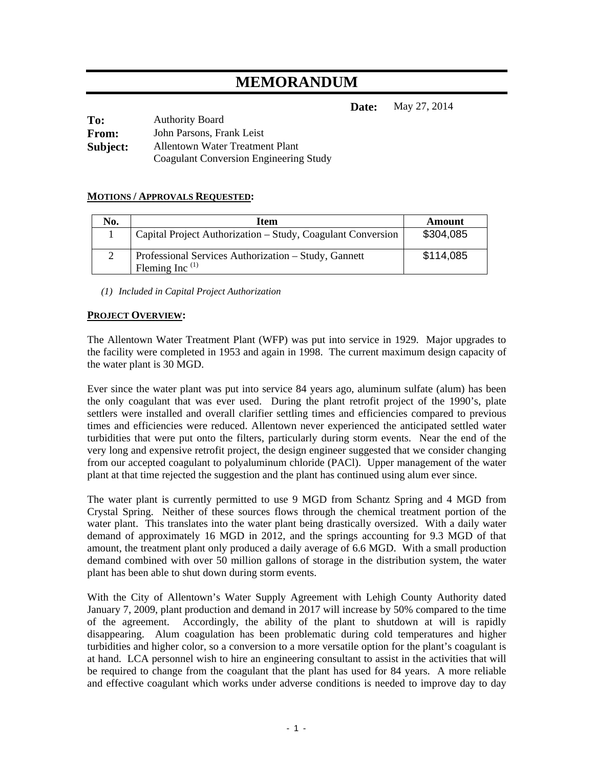# **MEMORANDUM**

**Date:** May 27, 2014

| To:      | <b>Authority Board</b>                        |
|----------|-----------------------------------------------|
| From:    | John Parsons, Frank Leist                     |
| Subject: | <b>Allentown Water Treatment Plant</b>        |
|          | <b>Coagulant Conversion Engineering Study</b> |

# **MOTIONS / APPROVALS REQUESTED:**

| No. | Item                                                                      | Amount    |
|-----|---------------------------------------------------------------------------|-----------|
|     | Capital Project Authorization – Study, Coagulant Conversion               | \$304,085 |
|     | Professional Services Authorization – Study, Gannett<br>Fleming Inc $(1)$ | \$114,085 |

*(1) Included in Capital Project Authorization* 

#### **PROJECT OVERVIEW:**

The Allentown Water Treatment Plant (WFP) was put into service in 1929. Major upgrades to the facility were completed in 1953 and again in 1998. The current maximum design capacity of the water plant is 30 MGD.

Ever since the water plant was put into service 84 years ago, aluminum sulfate (alum) has been the only coagulant that was ever used. During the plant retrofit project of the 1990's, plate settlers were installed and overall clarifier settling times and efficiencies compared to previous times and efficiencies were reduced. Allentown never experienced the anticipated settled water turbidities that were put onto the filters, particularly during storm events. Near the end of the very long and expensive retrofit project, the design engineer suggested that we consider changing from our accepted coagulant to polyaluminum chloride (PACl). Upper management of the water plant at that time rejected the suggestion and the plant has continued using alum ever since.

The water plant is currently permitted to use 9 MGD from Schantz Spring and 4 MGD from Crystal Spring. Neither of these sources flows through the chemical treatment portion of the water plant. This translates into the water plant being drastically oversized. With a daily water demand of approximately 16 MGD in 2012, and the springs accounting for 9.3 MGD of that amount, the treatment plant only produced a daily average of 6.6 MGD. With a small production demand combined with over 50 million gallons of storage in the distribution system, the water plant has been able to shut down during storm events.

With the City of Allentown's Water Supply Agreement with Lehigh County Authority dated January 7, 2009, plant production and demand in 2017 will increase by 50% compared to the time of the agreement. Accordingly, the ability of the plant to shutdown at will is rapidly disappearing. Alum coagulation has been problematic during cold temperatures and higher turbidities and higher color, so a conversion to a more versatile option for the plant's coagulant is at hand. LCA personnel wish to hire an engineering consultant to assist in the activities that will be required to change from the coagulant that the plant has used for 84 years. A more reliable and effective coagulant which works under adverse conditions is needed to improve day to day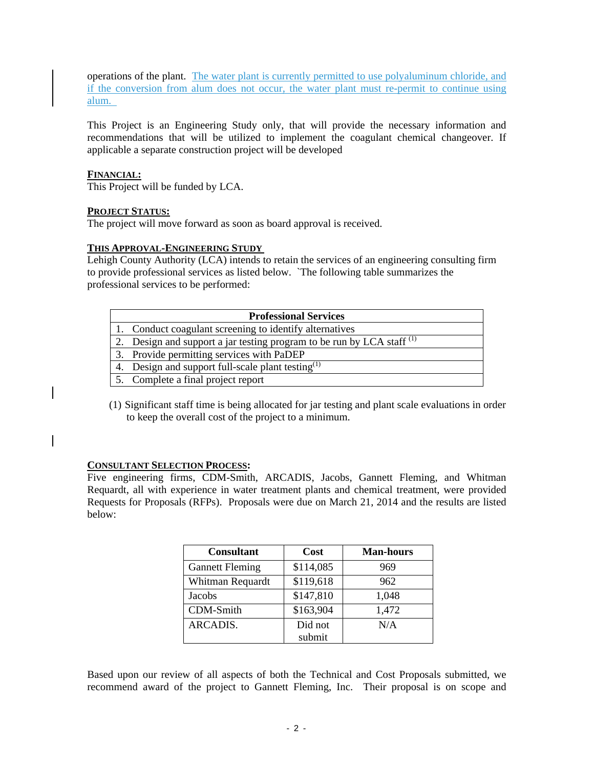operations of the plant. The water plant is currently permitted to use polyaluminum chloride, and if the conversion from alum does not occur, the water plant must re-permit to continue using alum.

This Project is an Engineering Study only, that will provide the necessary information and recommendations that will be utilized to implement the coagulant chemical changeover. If applicable a separate construction project will be developed

#### **FINANCIAL:**

This Project will be funded by LCA.

#### **PROJECT STATUS:**

The project will move forward as soon as board approval is received.

#### **THIS APPROVAL-ENGINEERING STUDY**

Lehigh County Authority (LCA) intends to retain the services of an engineering consulting firm to provide professional services as listed below. `The following table summarizes the professional services to be performed:

| <b>Professional Services</b> |                                                                          |  |
|------------------------------|--------------------------------------------------------------------------|--|
|                              | 1. Conduct coagulant screening to identify alternatives                  |  |
|                              | 2. Design and support a jar testing program to be run by LCA staff $(1)$ |  |
|                              | 3. Provide permitting services with PaDEP                                |  |
|                              | 4. Design and support full-scale plant testing <sup>(1)</sup>            |  |
|                              | 5. Complete a final project report                                       |  |

(1) Significant staff time is being allocated for jar testing and plant scale evaluations in order to keep the overall cost of the project to a minimum.

#### **CONSULTANT SELECTION PROCESS:**

Five engineering firms, CDM-Smith, ARCADIS, Jacobs, Gannett Fleming, and Whitman Requardt, all with experience in water treatment plants and chemical treatment, were provided Requests for Proposals (RFPs). Proposals were due on March 21, 2014 and the results are listed below:

| <b>Consultant</b>      | Cost      | <b>Man-hours</b> |
|------------------------|-----------|------------------|
| <b>Gannett Fleming</b> | \$114,085 | 969              |
| Whitman Requardt       | \$119,618 | 962              |
| <b>Jacobs</b>          | \$147,810 | 1,048            |
| CDM-Smith              | \$163,904 | 1,472            |
| ARCADIS.               | Did not   | N/A              |
|                        | submit    |                  |

Based upon our review of all aspects of both the Technical and Cost Proposals submitted, we recommend award of the project to Gannett Fleming, Inc. Their proposal is on scope and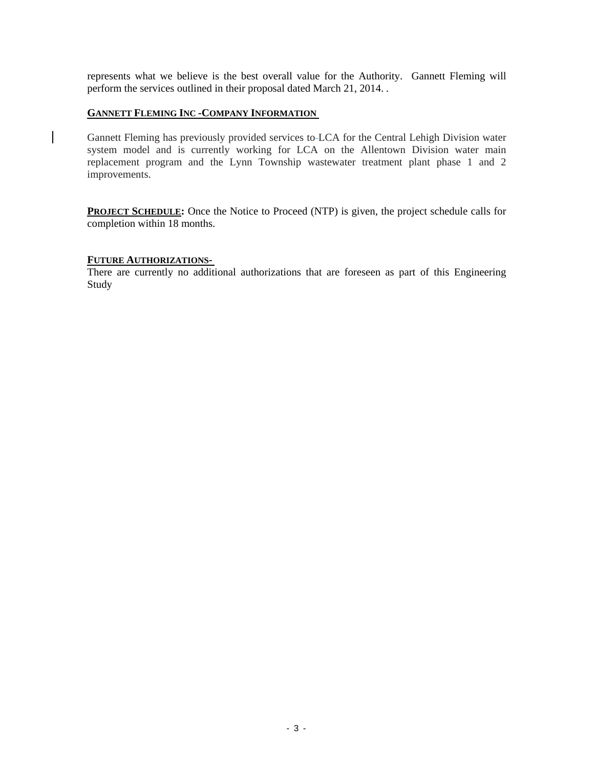represents what we believe is the best overall value for the Authority. Gannett Fleming will perform the services outlined in their proposal dated March 21, 2014. *.*

#### **GANNETT FLEMING INC -COMPANY INFORMATION**

Gannett Fleming has previously provided services to LCA for the Central Lehigh Division water system model and is currently working for LCA on the Allentown Division water main replacement program and the Lynn Township wastewater treatment plant phase 1 and 2 improvements.

**PROJECT SCHEDULE:** Once the Notice to Proceed (NTP) is given, the project schedule calls for completion within 18 months.

#### **FUTURE AUTHORIZATIONS-**

 $\overline{\phantom{a}}$ 

There are currently no additional authorizations that are foreseen as part of this Engineering Study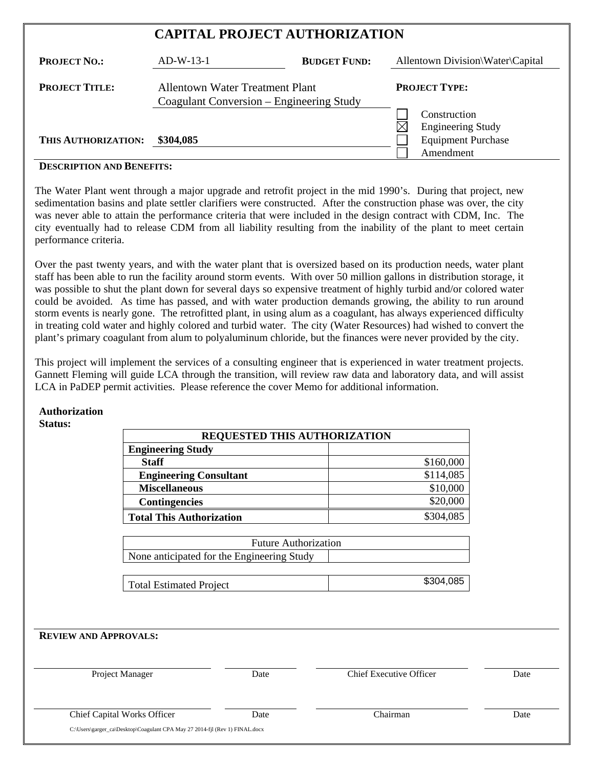| <b>CAPITAL PROJECT AUTHORIZATION</b> |                                                                             |                     |                                          |
|--------------------------------------|-----------------------------------------------------------------------------|---------------------|------------------------------------------|
| <b>PROJECT NO.:</b>                  | $AD-W-13-1$                                                                 | <b>BUDGET FUND:</b> | Allentown Division\Water\Capital         |
| <b>PROJECT TITLE:</b>                | Allentown Water Treatment Plant<br>Coagulant Conversion – Engineering Study |                     | <b>PROJECT TYPE:</b>                     |
|                                      |                                                                             |                     | Construction<br><b>Engineering Study</b> |
| THIS AUTHORIZATION:                  | \$304,085                                                                   |                     | <b>Equipment Purchase</b>                |
|                                      |                                                                             |                     | Amendment                                |

#### **DESCRIPTION AND BENEFITS:**

The Water Plant went through a major upgrade and retrofit project in the mid 1990's. During that project, new sedimentation basins and plate settler clarifiers were constructed. After the construction phase was over, the city was never able to attain the performance criteria that were included in the design contract with CDM, Inc. The city eventually had to release CDM from all liability resulting from the inability of the plant to meet certain performance criteria.

Over the past twenty years, and with the water plant that is oversized based on its production needs, water plant staff has been able to run the facility around storm events. With over 50 million gallons in distribution storage, it was possible to shut the plant down for several days so expensive treatment of highly turbid and/or colored water could be avoided. As time has passed, and with water production demands growing, the ability to run around storm events is nearly gone. The retrofitted plant, in using alum as a coagulant, has always experienced difficulty in treating cold water and highly colored and turbid water. The city (Water Resources) had wished to convert the plant's primary coagulant from alum to polyaluminum chloride, but the finances were never provided by the city.

This project will implement the services of a consulting engineer that is experienced in water treatment projects. Gannett Fleming will guide LCA through the transition, will review raw data and laboratory data, and will assist LCA in PaDEP permit activities. Please reference the cover Memo for additional information.

#### **Authorization Status:**

|                                 | REQUESTED THIS AUTHORIZATION               |                                |      |
|---------------------------------|--------------------------------------------|--------------------------------|------|
| <b>Engineering Study</b>        |                                            |                                |      |
| <b>Staff</b>                    |                                            | \$160,000                      |      |
| <b>Engineering Consultant</b>   |                                            | \$114,085                      |      |
| <b>Miscellaneous</b>            |                                            | \$10,000                       |      |
| <b>Contingencies</b>            |                                            | \$20,000                       |      |
| <b>Total This Authorization</b> |                                            | \$304,085                      |      |
|                                 |                                            |                                |      |
|                                 | <b>Future Authorization</b>                |                                |      |
|                                 | None anticipated for the Engineering Study |                                |      |
|                                 |                                            |                                |      |
| <b>Total Estimated Project</b>  |                                            | \$304,085                      |      |
|                                 |                                            |                                |      |
|                                 |                                            |                                |      |
|                                 |                                            |                                |      |
| <b>REVIEW AND APPROVALS:</b>    |                                            |                                |      |
|                                 |                                            |                                |      |
|                                 |                                            |                                |      |
| Project Manager                 | Date                                       | <b>Chief Executive Officer</b> | Date |
|                                 |                                            |                                |      |
|                                 |                                            |                                |      |
| Chief Capital Works Officer     | Date                                       | Chairman                       | Date |

C:\Users\garger\_ca\Desktop\Coagulant CPA May 27 2014-fjl (Rev 1) FINAL.docx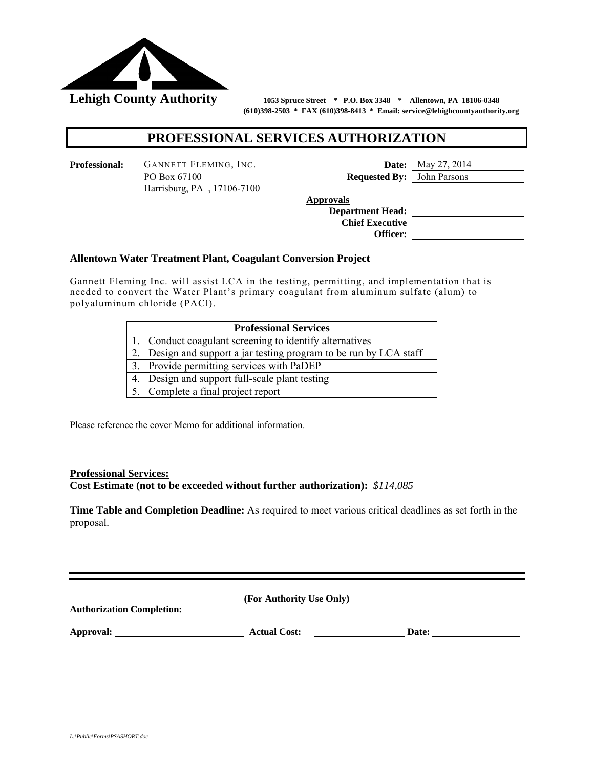

 **(610)398-2503 \* FAX (610)398-8413 \* Email: service@lehighcountyauthority.org** 

# **PROFESSIONAL SERVICES AUTHORIZATION**

**Professional:** GANNETT FLEMING, INC. **Date:** May 27, 2014 PO Box 67100 **Requested By:** John Parsons Harrisburg, PA , 17106-7100

**Approvals** 

 **Department Head: Chief Executive Officer:** 

#### **Allentown Water Treatment Plant, Coagulant Conversion Project**

**Gannett Fleming Inc. will assist LCA in the testing, permitting, and implementation that is** needed to convert the Water Plant's primary coagulant from aluminum sulfate (alum) to polyaluminum chloride (PACl).

| <b>Professional Services</b> |                                                                    |  |
|------------------------------|--------------------------------------------------------------------|--|
|                              | 1. Conduct coagulant screening to identify alternatives            |  |
|                              | 2. Design and support a jar testing program to be run by LCA staff |  |
|                              | 3. Provide permitting services with PaDEP                          |  |
|                              | 4. Design and support full-scale plant testing                     |  |
|                              | 5. Complete a final project report                                 |  |

Please reference the cover Memo for additional information.

#### **Professional Services:**

**Cost Estimate (not to be exceeded without further authorization):** *\$114,085* 

**Time Table and Completion Deadline:** As required to meet various critical deadlines as set forth in the proposal.

**(For Authority Use Only) Authorization Completion: Approval: Actual Cost: Date:**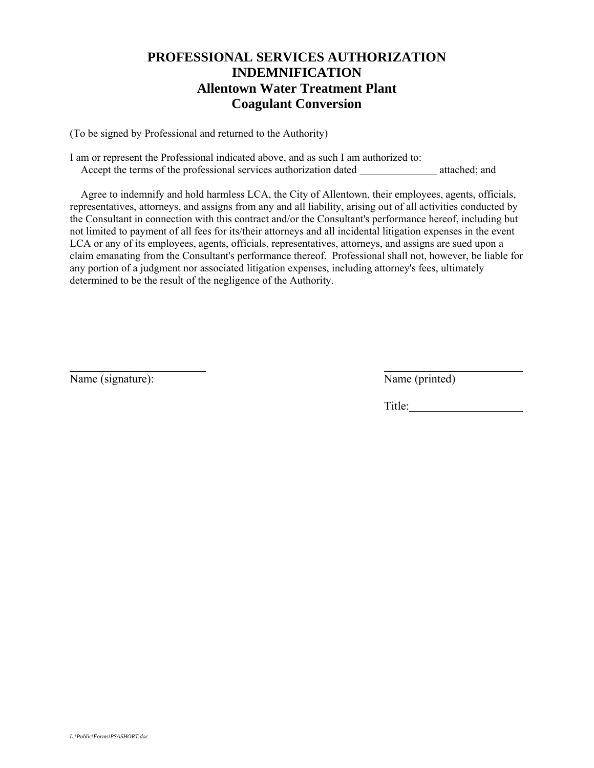# **PROFESSIONAL SERVICES AUTHORIZATION INDEMNIFICATION Allentown Water Treatment Plant Coagulant Conversion**

(To be signed by Professional and returned to the Authority)

I am or represent the Professional indicated above, and as such I am authorized to: Accept the terms of the professional services authorization dated attached; and

 Agree to indemnify and hold harmless LCA, the City of Allentown, their employees, agents, officials, representatives, attorneys, and assigns from any and all liability, arising out of all activities conducted by the Consultant in connection with this contract and/or the Consultant's performance hereof, including but not limited to payment of all fees for its/their attorneys and all incidental litigation expenses in the event LCA or any of its employees, agents, officials, representatives, attorneys, and assigns are sued upon a claim emanating from the Consultant's performance thereof. Professional shall not, however, be liable for any portion of a judgment nor associated litigation expenses, including attorney's fees, ultimately determined to be the result of the negligence of the Authority.

Name (signature): Name (printed)

l

Title: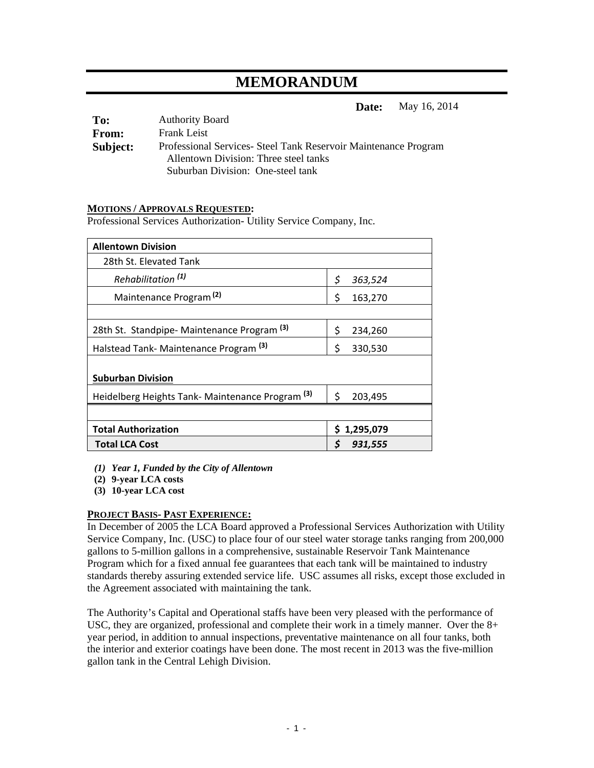# **MEMORANDUM**

**Date:** May 16, 2014

| To:      | <b>Authority Board</b>                                          |
|----------|-----------------------------------------------------------------|
| From:    | <b>Frank Leist</b>                                              |
| Subject: | Professional Services- Steel Tank Reservoir Maintenance Program |
|          | Allentown Division: Three steel tanks                           |
|          | Suburban Division: One-steel tank                               |

#### **MOTIONS / APPROVALS REQUESTED:**

Professional Services Authorization- Utility Service Company, Inc.

| <b>Allentown Division</b>                                   |               |
|-------------------------------------------------------------|---------------|
| 28th St. Elevated Tank                                      |               |
| Rehabilitation <sup>(1)</sup>                               | \$<br>363,524 |
| Maintenance Program <sup>(2)</sup>                          | \$<br>163,270 |
|                                                             |               |
| 28th St. Standpipe-Maintenance Program <sup>(3)</sup>       | \$<br>234,260 |
| Halstead Tank-Maintenance Program <sup>(3)</sup>            | \$<br>330,530 |
| <b>Suburban Division</b>                                    |               |
| Heidelberg Heights Tank- Maintenance Program <sup>(3)</sup> | \$<br>203,495 |
|                                                             |               |
| <b>Total Authorization</b>                                  | \$1,295,079   |
| <b>Total LCA Cost</b>                                       | \$<br>931,555 |

*(1) Year 1, Funded by the City of Allentown* 

**(2) 9-year LCA costs** 

**(3) 10-year LCA cost** 

#### **PROJECT BASIS- PAST EXPERIENCE:**

In December of 2005 the LCA Board approved a Professional Services Authorization with Utility Service Company, Inc. (USC) to place four of our steel water storage tanks ranging from 200,000 gallons to 5-million gallons in a comprehensive, sustainable Reservoir Tank Maintenance Program which for a fixed annual fee guarantees that each tank will be maintained to industry standards thereby assuring extended service life. USC assumes all risks, except those excluded in the Agreement associated with maintaining the tank.

The Authority's Capital and Operational staffs have been very pleased with the performance of USC, they are organized, professional and complete their work in a timely manner. Over the 8+ year period, in addition to annual inspections, preventative maintenance on all four tanks, both the interior and exterior coatings have been done. The most recent in 2013 was the five-million gallon tank in the Central Lehigh Division.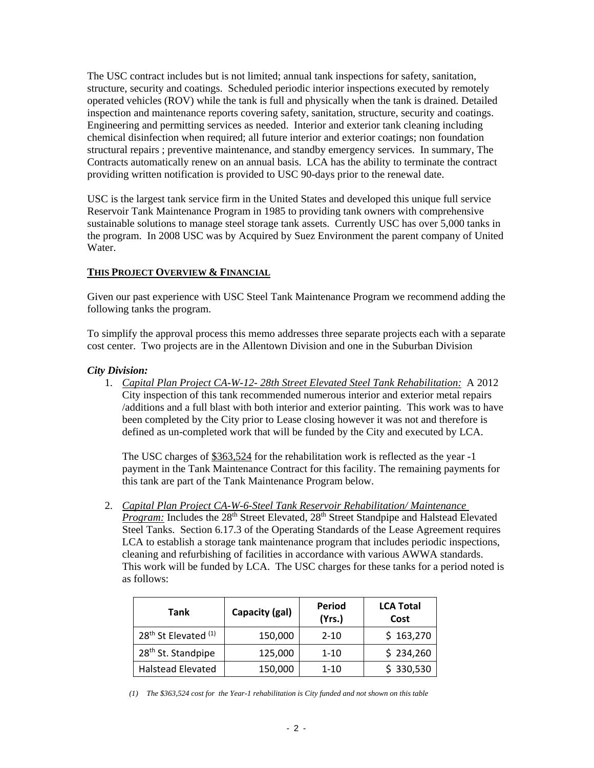The USC contract includes but is not limited; annual tank inspections for safety, sanitation, structure, security and coatings. Scheduled periodic interior inspections executed by remotely operated vehicles (ROV) while the tank is full and physically when the tank is drained. Detailed inspection and maintenance reports covering safety, sanitation, structure, security and coatings. Engineering and permitting services as needed. Interior and exterior tank cleaning including chemical disinfection when required; all future interior and exterior coatings; non foundation structural repairs ; preventive maintenance, and standby emergency services. In summary, The Contracts automatically renew on an annual basis. LCA has the ability to terminate the contract providing written notification is provided to USC 90-days prior to the renewal date.

USC is the largest tank service firm in the United States and developed this unique full service Reservoir Tank Maintenance Program in 1985 to providing tank owners with comprehensive sustainable solutions to manage steel storage tank assets. Currently USC has over 5,000 tanks in the program. In 2008 USC was by Acquired by Suez Environment the parent company of United Water.

#### **THIS PROJECT OVERVIEW & FINANCIAL**

Given our past experience with USC Steel Tank Maintenance Program we recommend adding the following tanks the program.

To simplify the approval process this memo addresses three separate projects each with a separate cost center. Two projects are in the Allentown Division and one in the Suburban Division

#### *City Division:*

1. *Capital Plan Project CA-W-12- 28th Street Elevated Steel Tank Rehabilitation:* A 2012 City inspection of this tank recommended numerous interior and exterior metal repairs /additions and a full blast with both interior and exterior painting. This work was to have been completed by the City prior to Lease closing however it was not and therefore is defined as un-completed work that will be funded by the City and executed by LCA.

The USC charges of \$363,524 for the rehabilitation work is reflected as the year -1 payment in the Tank Maintenance Contract for this facility. The remaining payments for this tank are part of the Tank Maintenance Program below.

2. *Capital Plan Project CA-W-6-Steel Tank Reservoir Rehabilitation/ Maintenance Program: Includes the 28<sup>th</sup> Street Elevated, 28<sup>th</sup> Street Standpipe and Halstead Elevated* Steel Tanks. Section 6.17.3 of the Operating Standards of the Lease Agreement requires LCA to establish a storage tank maintenance program that includes periodic inspections, cleaning and refurbishing of facilities in accordance with various AWWA standards. This work will be funded by LCA. The USC charges for these tanks for a period noted is as follows:

| <b>Tank</b>                                 | Capacity (gal) | Period<br>(Yrs.) | <b>LCA Total</b><br>Cost |
|---------------------------------------------|----------------|------------------|--------------------------|
| 28 <sup>th</sup> St Elevated <sup>(1)</sup> | 150,000        | $2 - 10$         | \$163,270                |
| 28 <sup>th</sup> St. Standpipe              | 125,000        | $1 - 10$         | \$234,260                |
| <b>Halstead Elevated</b>                    | 150,000        | $1 - 10$         | \$330,530                |

*(1) The \$363,524 cost for the Year-1 rehabilitation is City funded and not shown on this table*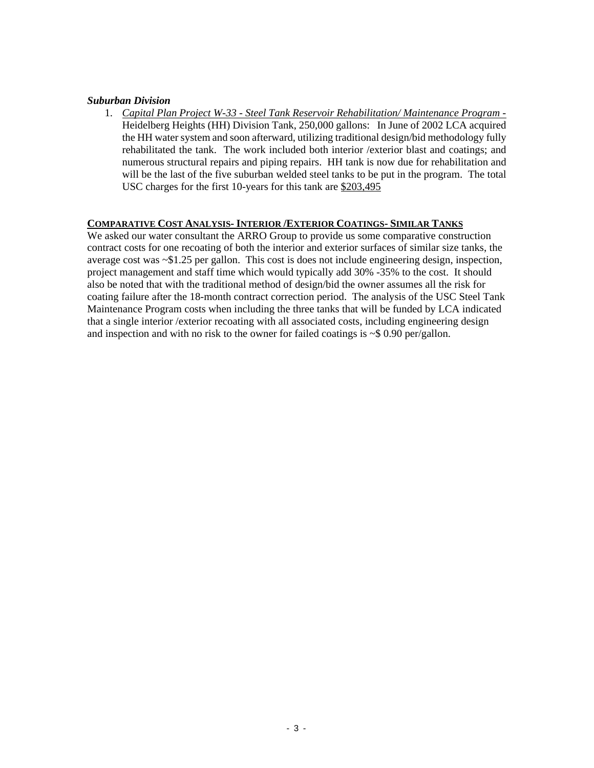#### *Suburban Division*

1. *Capital Plan Project W-33 - Steel Tank Reservoir Rehabilitation/ Maintenance Program -*  Heidelberg Heights (HH) Division Tank, 250,000 gallons: In June of 2002 LCA acquired the HH water system and soon afterward, utilizing traditional design/bid methodology fully rehabilitated the tank. The work included both interior /exterior blast and coatings; and numerous structural repairs and piping repairs. HH tank is now due for rehabilitation and will be the last of the five suburban welded steel tanks to be put in the program. The total USC charges for the first 10-years for this tank are \$203,495

# **COMPARATIVE COST ANALYSIS- INTERIOR /EXTERIOR COATINGS- SIMILAR TANKS**

We asked our water consultant the ARRO Group to provide us some comparative construction contract costs for one recoating of both the interior and exterior surfaces of similar size tanks, the average cost was ~\$1.25 per gallon. This cost is does not include engineering design, inspection, project management and staff time which would typically add 30% -35% to the cost. It should also be noted that with the traditional method of design/bid the owner assumes all the risk for coating failure after the 18-month contract correction period. The analysis of the USC Steel Tank Maintenance Program costs when including the three tanks that will be funded by LCA indicated that a single interior /exterior recoating with all associated costs, including engineering design and inspection and with no risk to the owner for failed coatings is ~\$ 0.90 per/gallon.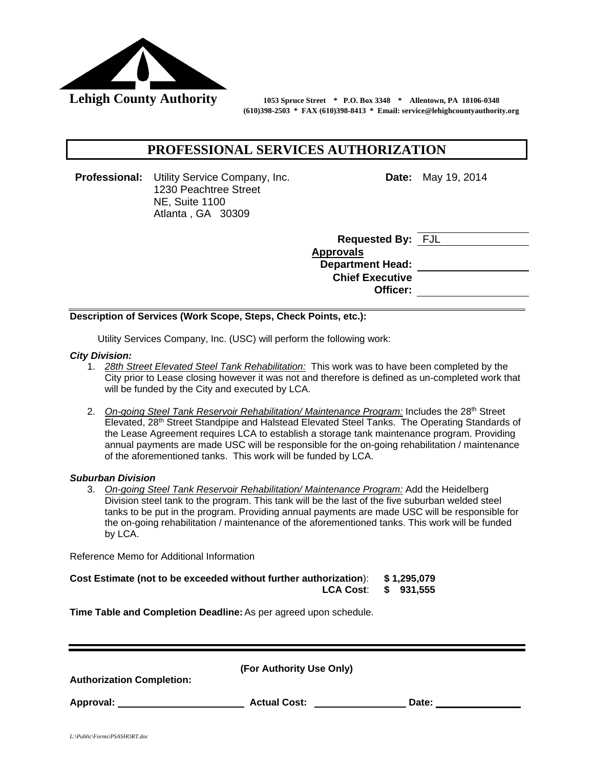

Lehigh County Authority 1053 Spruce Street \* P.O. Box 3348 \* Allentown, PA 18106-0348  **(610)398-2503 \* FAX (610)398-8413 \* Email: service@lehighcountyauthority.org** 

# **PROFESSIONAL SERVICES AUTHORIZATION**

**Professional:** Utility Service Company, Inc. 1230 Peachtree Street NE, Suite 1100 Atlanta , GA 30309

**Date:** May 19, 2014

| <b>Requested By: FJL</b> |  |
|--------------------------|--|
| <b>Approvals</b>         |  |
| <b>Department Head:</b>  |  |
| <b>Chief Executive</b>   |  |
| Officer:                 |  |
|                          |  |

#### **Description of Services (Work Scope, Steps, Check Points, etc.):**

Utility Services Company, Inc. (USC) will perform the following work:

#### *City Division:*

- 1. *28th Street Elevated Steel Tank Rehabilitation:* This work was to have been completed by the City prior to Lease closing however it was not and therefore is defined as un-completed work that will be funded by the City and executed by LCA.
- 2. On-going Steel Tank Reservoir Rehabilitation/ Maintenance Program: Includes the 28<sup>th</sup> Street Elevated, 28<sup>th</sup> Street Standpipe and Halstead Elevated Steel Tanks. The Operating Standards of the Lease Agreement requires LCA to establish a storage tank maintenance program. Providing annual payments are made USC will be responsible for the on-going rehabilitation / maintenance of the aforementioned tanks. This work will be funded by LCA.

#### *Suburban Division*

3. *On-going Steel Tank Reservoir Rehabilitation/ Maintenance Program:* Add the Heidelberg Division steel tank to the program. This tank will be the last of the five suburban welded steel tanks to be put in the program. Providing annual payments are made USC will be responsible for the on-going rehabilitation / maintenance of the aforementioned tanks. This work will be funded by LCA.

Reference Memo for Additional Information

| Cost Estimate (not to be exceeded without further authorization): \$1,295,079 |  |
|-------------------------------------------------------------------------------|--|
| LCA Cost: \$ 931,555                                                          |  |

**Time Table and Completion Deadline:** As per agreed upon schedule.

| <b>Authorization Completion:</b> | (For Authority Use Only) |       |
|----------------------------------|--------------------------|-------|
| Approval:                        | <b>Actual Cost:</b>      | Date: |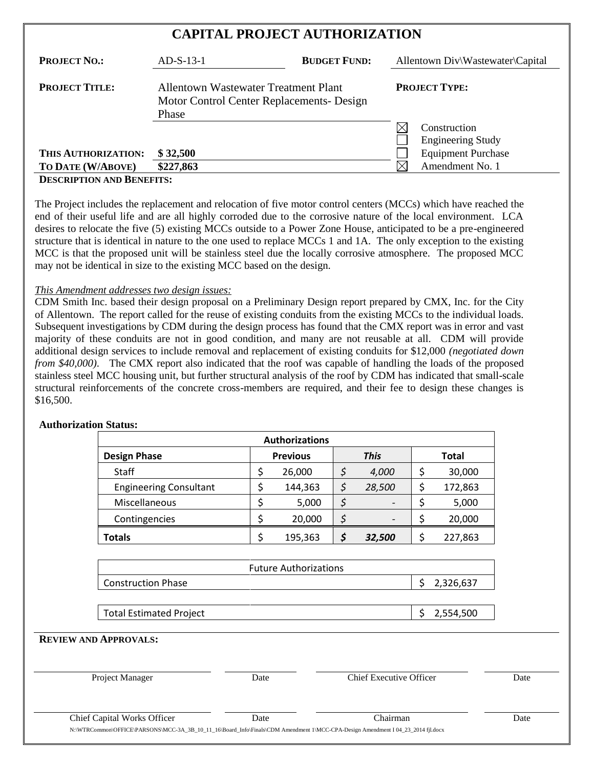| $AD-S-13-1$ | <b>BUDGET FUND:</b> |                                                                                                                           | Allentown Div\Wastewater\Capital         |
|-------------|---------------------|---------------------------------------------------------------------------------------------------------------------------|------------------------------------------|
| Phase       |                     |                                                                                                                           | <b>PROJECT TYPE:</b>                     |
|             |                     |                                                                                                                           | Construction<br><b>Engineering Study</b> |
| \$32,500    |                     |                                                                                                                           | <b>Equipment Purchase</b>                |
| \$227,863   |                     |                                                                                                                           | Amendment No. 1                          |
|             |                     | Allentown Wastewater Treatment Plant<br>Motor Control Center Replacements- Design<br>$\mathbf{n}$ =  = = = $\mathbf{n}$ = | <b>CAPITAL PROJECT AUTHORIZATION</b>     |

#### **DESCRIPTION AND BENEFITS:**

The Project includes the replacement and relocation of five motor control centers (MCCs) which have reached the end of their useful life and are all highly corroded due to the corrosive nature of the local environment. LCA desires to relocate the five (5) existing MCCs outside to a Power Zone House, anticipated to be a pre-engineered structure that is identical in nature to the one used to replace MCCs 1 and 1A. The only exception to the existing MCC is that the proposed unit will be stainless steel due the locally corrosive atmosphere. The proposed MCC may not be identical in size to the existing MCC based on the design.

#### *This Amendment addresses two design issues:*

CDM Smith Inc. based their design proposal on a Preliminary Design report prepared by CMX, Inc. for the City of Allentown. The report called for the reuse of existing conduits from the existing MCCs to the individual loads. Subsequent investigations by CDM during the design process has found that the CMX report was in error and vast majority of these conduits are not in good condition, and many are not reusable at all. CDM will provide additional design services to include removal and replacement of existing conduits for \$12,000 *(negotiated down from \$40,000)*. The CMX report also indicated that the roof was capable of handling the loads of the proposed stainless steel MCC housing unit, but further structural analysis of the roof by CDM has indicated that small-scale structural reinforcements of the concrete cross-members are required, and their fee to design these changes is \$16,500.

|                                |      | <b>Authorizations</b>        |                                |                 |
|--------------------------------|------|------------------------------|--------------------------------|-----------------|
| <b>Design Phase</b>            |      | <b>Previous</b>              | <b>This</b>                    | <b>Total</b>    |
| Staff                          | \$   | 26,000                       | \$<br>4,000                    | \$<br>30,000    |
| <b>Engineering Consultant</b>  | \$   | 144,363                      | \$<br>28,500                   | \$<br>172,863   |
| Miscellaneous                  | \$   | 5,000                        | \$                             | \$<br>5,000     |
| Contingencies                  | \$   | 20,000                       | \$                             | \$<br>20,000    |
| <b>Totals</b>                  | \$   | 195,363                      | \$<br>32,500                   | \$<br>227,863   |
|                                |      | <b>Future Authorizations</b> |                                |                 |
|                                |      |                              |                                |                 |
| <b>Construction Phase</b>      |      |                              |                                | \$<br>2,326,637 |
| <b>Total Estimated Project</b> |      |                              |                                | \$<br>2,554,500 |
| <b>REVIEW AND APPROVALS:</b>   |      |                              |                                |                 |
| Project Manager                | Date |                              | <b>Chief Executive Officer</b> |                 |
| Chief Capital Works Officer    | Date |                              | Chairman                       |                 |

#### **Authorization Status:**

N:\WTRCommon\OFFICE\PARSONS\MCC-3A\_3B\_10\_11\_16\Board\_Info\Finals\CDM Amendment 1\MCC-CPA-Design Amendment I 04\_23\_2014 fil.docx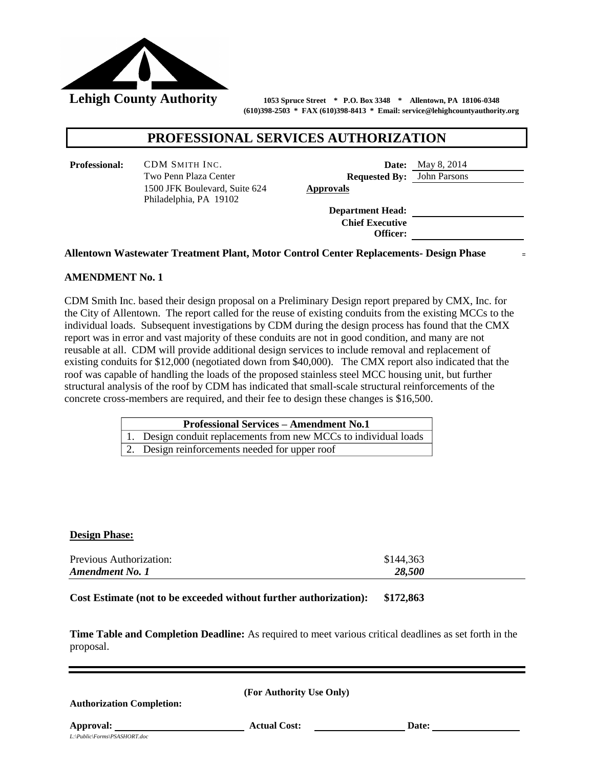

**Lehigh County Authority 1053 Spruce Street \* P.O. Box 3348 \* Allentown, PA 18106-0348 (610)398-2503 \* FAX (610)398-8413 \* Email: service@lehighcountyauthority.org**

# **PROFESSIONAL SERVICES AUTHORIZATION**

**Professional:** CDM SMITH INC. **Date:** May 8, 2014 Two Penn Plaza Center **Requested By:** John Parsons 1500 JFK Boulevard, Suite 624 Philadelphia, PA 19102

**Approvals**

**Department Head: Chief Executive Officer:**

#### **Allentown Wastewater Treatment Plant, Motor Control Center Replacements- Design Phase**

# **AMENDMENT No. 1**

CDM Smith Inc. based their design proposal on a Preliminary Design report prepared by CMX, Inc. for the City of Allentown. The report called for the reuse of existing conduits from the existing MCCs to the individual loads. Subsequent investigations by CDM during the design process has found that the CMX report was in error and vast majority of these conduits are not in good condition, and many are not reusable at all. CDM will provide additional design services to include removal and replacement of existing conduits for \$12,000 (negotiated down from \$40,000). The CMX report also indicated that the roof was capable of handling the loads of the proposed stainless steel MCC housing unit, but further structural analysis of the roof by CDM has indicated that small-scale structural reinforcements of the concrete cross-members are required, and their fee to design these changes is \$16,500.

| <b>Professional Services – Amendment No.1</b>                    |
|------------------------------------------------------------------|
| 1. Design conduit replacements from new MCCs to individual loads |
| 2. Design reinforcements needed for upper roof                   |

#### **Design Phase:**

| Previous Authorization: | \$144,363 |  |
|-------------------------|-----------|--|
| <b>Amendment No. 1</b>  | 28,500    |  |

**Cost Estimate (not to be exceeded without further authorization): \$172,863**

**Time Table and Completion Deadline:** As required to meet various critical deadlines as set forth in the proposal.

| (For Authority Use Only) |  |
|--------------------------|--|
|--------------------------|--|

**Authorization Completion:** 

*L:\Public\Forms\PSASHORT.doc*

**Approval:** <u>Date:</u> **Actual Cost: Date: Date: Date: Date: Date: Date: Date: Date: Date: Date: Date: Date: Date: Date: Date: Date: Date: Date: Date: Date: Date: Date: Date: Da**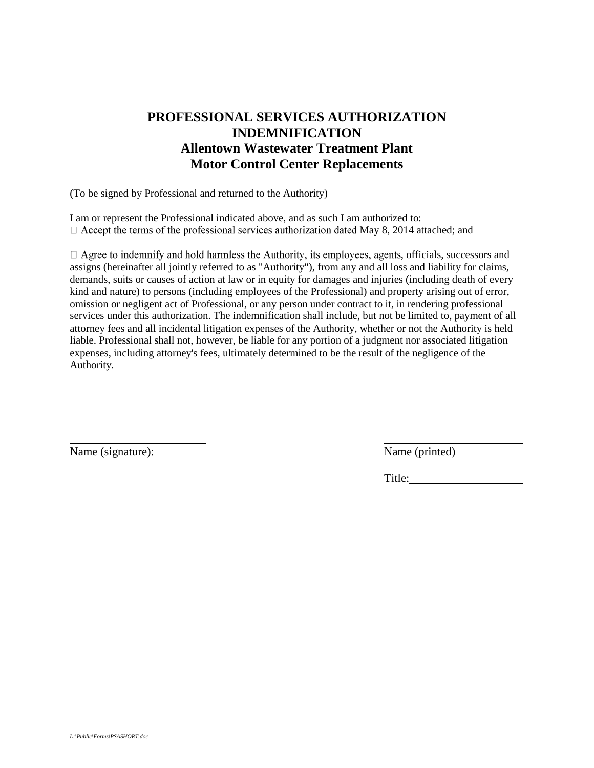# **PROFESSIONAL SERVICES AUTHORIZATION INDEMNIFICATION Allentown Wastewater Treatment Plant Motor Control Center Replacements**

(To be signed by Professional and returned to the Authority)

I am or represent the Professional indicated above, and as such I am authorized to:  $\Box$  Accept the terms of the professional services authorization dated May 8, 2014 attached; and

 $\Box$  Agree to indemnify and hold harmless the Authority, its employees, agents, officials, successors and assigns (hereinafter all jointly referred to as "Authority"), from any and all loss and liability for claims, demands, suits or causes of action at law or in equity for damages and injuries (including death of every kind and nature) to persons (including employees of the Professional) and property arising out of error, omission or negligent act of Professional, or any person under contract to it, in rendering professional services under this authorization. The indemnification shall include, but not be limited to, payment of all attorney fees and all incidental litigation expenses of the Authority, whether or not the Authority is held liable. Professional shall not, however, be liable for any portion of a judgment nor associated litigation expenses, including attorney's fees, ultimately determined to be the result of the negligence of the Authority.

Name (signature): Name (printed)

l

Title: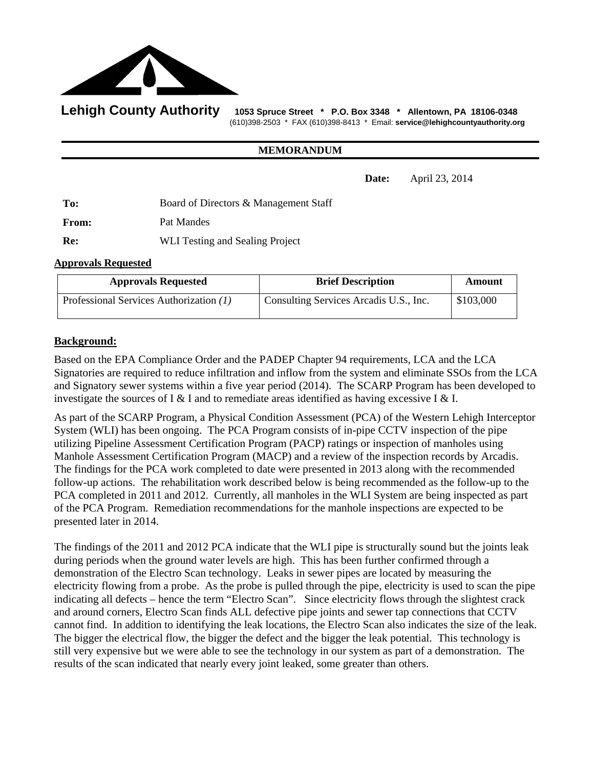

Lehigh County Authority 1053 Spruce Street \* P.O. Box 3348 \* Allentown, PA 18106-0348 (610)398-2503 \* FAX (610)398-8413 \* Email: **service@lehighcountyauthority.org** 

#### **MEMORANDUM**

**Date:** April 23, 2014

**To:** Board of Directors & Management Staff From: Pat Mandes **Re:** WLI Testing and Sealing Project

#### **Approvals Requested**

| <b>Approvals Requested</b>              | <b>Brief Description</b>               | Amount    |
|-----------------------------------------|----------------------------------------|-----------|
| Professional Services Authorization (1) | Consulting Services Arcadis U.S., Inc. | \$103,000 |

# **Background:**

Based on the EPA Compliance Order and the PADEP Chapter 94 requirements, LCA and the LCA Signatories are required to reduce infiltration and inflow from the system and eliminate SSOs from the LCA and Signatory sewer systems within a five year period (2014). The SCARP Program has been developed to investigate the sources of I & I and to remediate areas identified as having excessive I & I.

As part of the SCARP Program, a Physical Condition Assessment (PCA) of the Western Lehigh Interceptor System (WLI) has been ongoing. The PCA Program consists of in-pipe CCTV inspection of the pipe utilizing Pipeline Assessment Certification Program (PACP) ratings or inspection of manholes using Manhole Assessment Certification Program (MACP) and a review of the inspection records by Arcadis. The findings for the PCA work completed to date were presented in 2013 along with the recommended follow-up actions. The rehabilitation work described below is being recommended as the follow-up to the PCA completed in 2011 and 2012. Currently, all manholes in the WLI System are being inspected as part of the PCA Program. Remediation recommendations for the manhole inspections are expected to be presented later in 2014.

The findings of the 2011 and 2012 PCA indicate that the WLI pipe is structurally sound but the joints leak during periods when the ground water levels are high. This has been further confirmed through a demonstration of the Electro Scan technology. Leaks in sewer pipes are located by measuring the electricity flowing from a probe. As the probe is pulled through the pipe, electricity is used to scan the pipe indicating all defects – hence the term "Electro Scan". Since electricity flows through the slightest crack and around corners, Electro Scan finds ALL defective pipe joints and sewer tap connections that CCTV cannot find. In addition to identifying the leak locations, the Electro Scan also indicates the size of the leak. The bigger the electrical flow, the bigger the defect and the bigger the leak potential. This technology is still very expensive but we were able to see the technology in our system as part of a demonstration. The results of the scan indicated that nearly every joint leaked, some greater than others.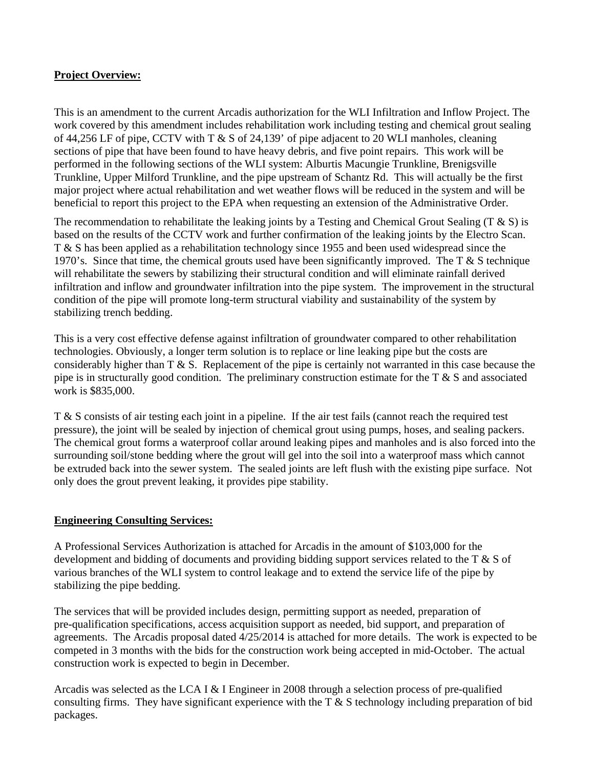# **Project Overview:**

This is an amendment to the current Arcadis authorization for the WLI Infiltration and Inflow Project. The work covered by this amendment includes rehabilitation work including testing and chemical grout sealing of 44,256 LF of pipe, CCTV with T & S of 24,139' of pipe adjacent to 20 WLI manholes, cleaning sections of pipe that have been found to have heavy debris, and five point repairs. This work will be performed in the following sections of the WLI system: Alburtis Macungie Trunkline, Brenigsville Trunkline, Upper Milford Trunkline, and the pipe upstream of Schantz Rd. This will actually be the first major project where actual rehabilitation and wet weather flows will be reduced in the system and will be beneficial to report this project to the EPA when requesting an extension of the Administrative Order.

The recommendation to rehabilitate the leaking joints by a Testing and Chemical Grout Sealing (T  $\&$  S) is based on the results of the CCTV work and further confirmation of the leaking joints by the Electro Scan. T & S has been applied as a rehabilitation technology since 1955 and been used widespread since the 1970's. Since that time, the chemical grouts used have been significantly improved. The  $T \& S$  technique will rehabilitate the sewers by stabilizing their structural condition and will eliminate rainfall derived infiltration and inflow and groundwater infiltration into the pipe system. The improvement in the structural condition of the pipe will promote long-term structural viability and sustainability of the system by stabilizing trench bedding.

This is a very cost effective defense against infiltration of groundwater compared to other rehabilitation technologies. Obviously, a longer term solution is to replace or line leaking pipe but the costs are considerably higher than T & S. Replacement of the pipe is certainly not warranted in this case because the pipe is in structurally good condition. The preliminary construction estimate for the  $T \& S$  and associated work is \$835,000.

T & S consists of air testing each joint in a pipeline. If the air test fails (cannot reach the required test pressure), the joint will be sealed by injection of chemical grout using pumps, hoses, and sealing packers. The chemical grout forms a waterproof collar around leaking pipes and manholes and is also forced into the surrounding soil/stone bedding where the grout will gel into the soil into a waterproof mass which cannot be extruded back into the sewer system. The sealed joints are left flush with the existing pipe surface. Not only does the grout prevent leaking, it provides pipe stability.

# **Engineering Consulting Services:**

A Professional Services Authorization is attached for Arcadis in the amount of \$103,000 for the development and bidding of documents and providing bidding support services related to the T & S of various branches of the WLI system to control leakage and to extend the service life of the pipe by stabilizing the pipe bedding.

The services that will be provided includes design, permitting support as needed, preparation of pre-qualification specifications, access acquisition support as needed, bid support, and preparation of agreements. The Arcadis proposal dated 4/25/2014 is attached for more details. The work is expected to be competed in 3 months with the bids for the construction work being accepted in mid-October. The actual construction work is expected to begin in December.

Arcadis was selected as the LCA I & I Engineer in 2008 through a selection process of pre-qualified consulting firms. They have significant experience with the  $T \& S$  technology including preparation of bid packages.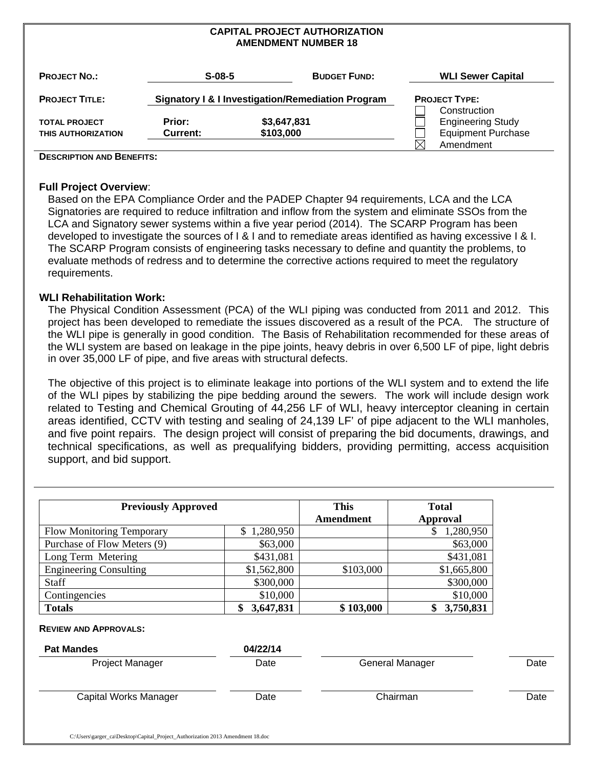#### **CAPITAL PROJECT AUTHORIZATION AMENDMENT NUMBER 18**

| <b>PROJECT NO.:</b>                        | $S-08-5$           |                          | <b>BUDGET FUND:</b>                               |    | <b>WLI Sewer Capital</b>                                              |
|--------------------------------------------|--------------------|--------------------------|---------------------------------------------------|----|-----------------------------------------------------------------------|
| <b>PROJECT TITLE:</b>                      |                    |                          | Signatory I & I Investigation/Remediation Program |    | <b>PROJECT TYPE:</b>                                                  |
| <b>TOTAL PROJECT</b><br>THIS AUTHORIZATION | Prior:<br>Current: | \$3,647,831<br>\$103,000 |                                                   |    | Construction<br><b>Engineering Study</b><br><b>Equipment Purchase</b> |
|                                            |                    |                          |                                                   | IX | Amendment                                                             |

#### **DESCRIPTION AND BENEFITS:**

#### **Full Project Overview**:

Based on the EPA Compliance Order and the PADEP Chapter 94 requirements, LCA and the LCA Signatories are required to reduce infiltration and inflow from the system and eliminate SSOs from the LCA and Signatory sewer systems within a five year period (2014). The SCARP Program has been developed to investigate the sources of I & I and to remediate areas identified as having excessive I & I. The SCARP Program consists of engineering tasks necessary to define and quantity the problems, to evaluate methods of redress and to determine the corrective actions required to meet the regulatory requirements.

#### **WLI Rehabilitation Work:**

The Physical Condition Assessment (PCA) of the WLI piping was conducted from 2011 and 2012. This project has been developed to remediate the issues discovered as a result of the PCA. The structure of the WLI pipe is generally in good condition. The Basis of Rehabilitation recommended for these areas of the WLI system are based on leakage in the pipe joints, heavy debris in over 6,500 LF of pipe, light debris in over 35,000 LF of pipe, and five areas with structural defects.

The objective of this project is to eliminate leakage into portions of the WLI system and to extend the life of the WLI pipes by stabilizing the pipe bedding around the sewers. The work will include design work related to Testing and Chemical Grouting of 44,256 LF of WLI, heavy interceptor cleaning in certain areas identified, CCTV with testing and sealing of 24,139 LF' of pipe adjacent to the WLI manholes, and five point repairs. The design project will consist of preparing the bid documents, drawings, and technical specifications, as well as prequalifying bidders, providing permitting, access acquisition support, and bid support.

| <b>Previously Approved</b>       |                 | <b>This</b> | <b>Total</b>    |
|----------------------------------|-----------------|-------------|-----------------|
|                                  |                 | Amendment   | Approval        |
| <b>Flow Monitoring Temporary</b> | \$1,280,950     |             | 1,280,950<br>\$ |
| Purchase of Flow Meters (9)      | \$63,000        |             | \$63,000        |
| Long Term Metering               | \$431,081       |             | \$431,081       |
| <b>Engineering Consulting</b>    | \$1,562,800     | \$103,000   | \$1,665,800     |
| <b>Staff</b>                     | \$300,000       |             | \$300,000       |
| Contingencies                    | \$10,000        |             | \$10,000        |
| <b>Totals</b>                    | 3,647,831<br>\$ | \$103,000   | 3,750,831<br>S  |

| Date | <b>General Manager</b>       | Date |
|------|------------------------------|------|
| Date | Chairman                     | Date |
|      | $V$ $\sim$ $L$ $\sim$ $\sim$ |      |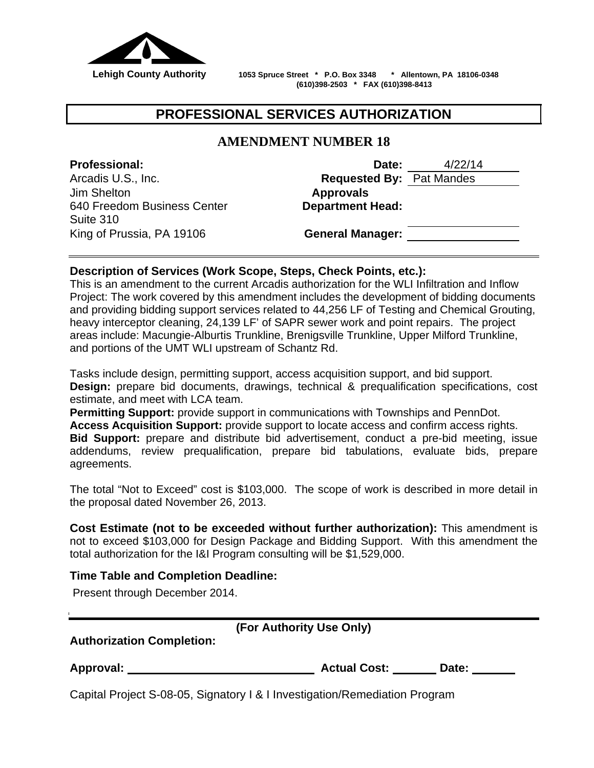

 **Lehigh County Authority 1053 Spruce Street \* P.O. Box 3348 \* Allentown, PA 18106-0348 (610)398-2503 \* FAX (610)398-8413**

# **PROFESSIONAL SERVICES AUTHORIZATION**

# **AMENDMENT NUMBER 18**

Jim Shelton **Approvals**  640 Freedom Business Center Suite 310 King of Prussia, PA 19106 **General Manager:**

**Professional: Date:** 4/22/14 Arcadis U.S., Inc. **Requested By:** Pat Mandes **Department Head:**

# **Description of Services (Work Scope, Steps, Check Points, etc.):**

This is an amendment to the current Arcadis authorization for the WLI Infiltration and Inflow Project: The work covered by this amendment includes the development of bidding documents and providing bidding support services related to 44,256 LF of Testing and Chemical Grouting, heavy interceptor cleaning, 24,139 LF' of SAPR sewer work and point repairs. The project areas include: Macungie-Alburtis Trunkline, Brenigsville Trunkline, Upper Milford Trunkline, and portions of the UMT WLI upstream of Schantz Rd.

Tasks include design, permitting support, access acquisition support, and bid support. **Design:** prepare bid documents, drawings, technical & prequalification specifications, cost estimate, and meet with LCA team.

**Permitting Support:** provide support in communications with Townships and PennDot. **Access Acquisition Support:** provide support to locate access and confirm access rights. **Bid Support:** prepare and distribute bid advertisement, conduct a pre-bid meeting, issue addendums, review prequalification, prepare bid tabulations, evaluate bids, prepare agreements.

The total "Not to Exceed" cost is \$103,000. The scope of work is described in more detail in the proposal dated November 26, 2013.

**Cost Estimate (not to be exceeded without further authorization):** This amendment is not to exceed \$103,000 for Design Package and Bidding Support. With this amendment the total authorization for the I&I Program consulting will be \$1,529,000.

# **Time Table and Completion Deadline:**

Present through December 2014.

|  |  | (For Authority Use Only) |
|--|--|--------------------------|
|--|--|--------------------------|

**Authorization Completion:** 

| <b>Approval:</b><br><b>Actual Cost:</b><br>Date: |
|--------------------------------------------------|
|--------------------------------------------------|

Capital Project S-08-05, Signatory I & I Investigation/Remediation Program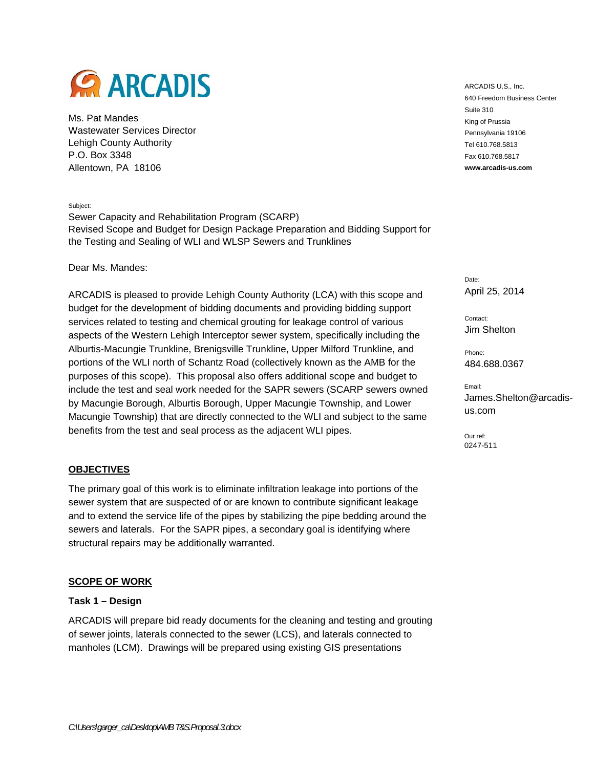

Ms. Pat Mandes Wastewater Services Director Lehigh County Authority P.O. Box 3348 Allentown, PA 18106

Subject:

Sewer Capacity and Rehabilitation Program (SCARP) Revised Scope and Budget for Design Package Preparation and Bidding Support for the Testing and Sealing of WLI and WLSP Sewers and Trunklines

Dear Ms. Mandes:

ARCADIS is pleased to provide Lehigh County Authority (LCA) with this scope and budget for the development of bidding documents and providing bidding support services related to testing and chemical grouting for leakage control of various aspects of the Western Lehigh Interceptor sewer system, specifically including the Alburtis-Macungie Trunkline, Brenigsville Trunkline, Upper Milford Trunkline, and portions of the WLI north of Schantz Road (collectively known as the AMB for the purposes of this scope). This proposal also offers additional scope and budget to include the test and seal work needed for the SAPR sewers (SCARP sewers owned by Macungie Borough, Alburtis Borough, Upper Macungie Township, and Lower Macungie Township) that are directly connected to the WLI and subject to the same benefits from the test and seal process as the adjacent WLI pipes.

#### **OBJECTIVES**

The primary goal of this work is to eliminate infiltration leakage into portions of the sewer system that are suspected of or are known to contribute significant leakage and to extend the service life of the pipes by stabilizing the pipe bedding around the sewers and laterals. For the SAPR pipes, a secondary goal is identifying where structural repairs may be additionally warranted.

#### **SCOPE OF WORK**

#### **Task 1 – Design**

ARCADIS will prepare bid ready documents for the cleaning and testing and grouting of sewer joints, laterals connected to the sewer (LCS), and laterals connected to manholes (LCM). Drawings will be prepared using existing GIS presentations

ARCADIS U.S., Inc. 640 Freedom Business Center Suite 310 King of Prussia Pennsylvania 19106 Tel 610.768.5813 Fax 610.768.5817 **www.arcadis-us.com**

Date: April 25, 2014

Contact: Jim Shelton

Phone: 484.688.0367

Email: James.Shelton@arcadisus.com

Our ref: 0247-511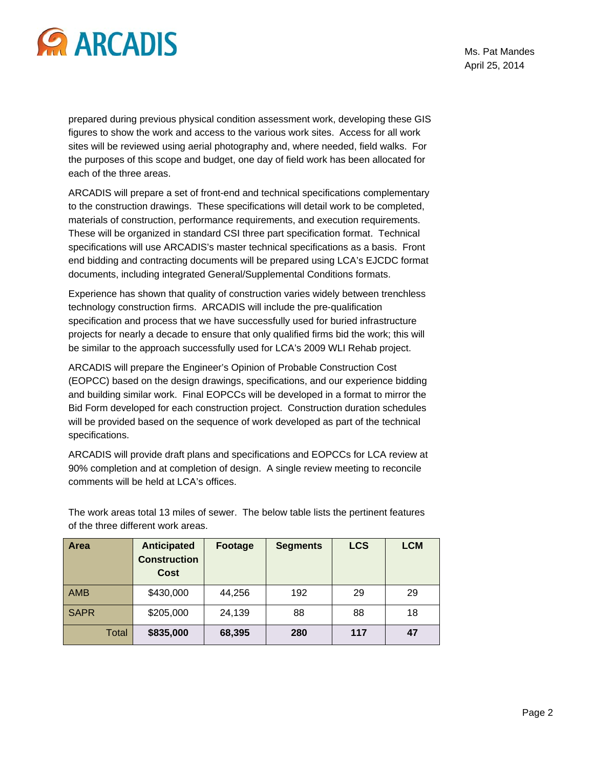

prepared during previous physical condition assessment work, developing these GIS figures to show the work and access to the various work sites. Access for all work sites will be reviewed using aerial photography and, where needed, field walks. For the purposes of this scope and budget, one day of field work has been allocated for each of the three areas.

ARCADIS will prepare a set of front-end and technical specifications complementary to the construction drawings. These specifications will detail work to be completed, materials of construction, performance requirements, and execution requirements. These will be organized in standard CSI three part specification format. Technical specifications will use ARCADIS's master technical specifications as a basis. Front end bidding and contracting documents will be prepared using LCA's EJCDC format documents, including integrated General/Supplemental Conditions formats.

Experience has shown that quality of construction varies widely between trenchless technology construction firms. ARCADIS will include the pre-qualification specification and process that we have successfully used for buried infrastructure projects for nearly a decade to ensure that only qualified firms bid the work; this will be similar to the approach successfully used for LCA's 2009 WLI Rehab project.

ARCADIS will prepare the Engineer's Opinion of Probable Construction Cost (EOPCC) based on the design drawings, specifications, and our experience bidding and building similar work. Final EOPCCs will be developed in a format to mirror the Bid Form developed for each construction project. Construction duration schedules will be provided based on the sequence of work developed as part of the technical specifications.

ARCADIS will provide draft plans and specifications and EOPCCs for LCA review at 90% completion and at completion of design. A single review meeting to reconcile comments will be held at LCA's offices.

| Area         | <b>Anticipated</b><br><b>Construction</b><br><b>Cost</b> | Footage | <b>Segments</b> | <b>LCS</b> | <b>LCM</b> |
|--------------|----------------------------------------------------------|---------|-----------------|------------|------------|
| <b>AMB</b>   | \$430,000                                                | 44,256  | 192             | 29         | 29         |
| <b>SAPR</b>  | \$205,000                                                | 24,139  | 88              | 88         | 18         |
| <b>Total</b> | \$835,000                                                | 68,395  | 280             | 117        | 47         |

The work areas total 13 miles of sewer. The below table lists the pertinent features of the three different work areas.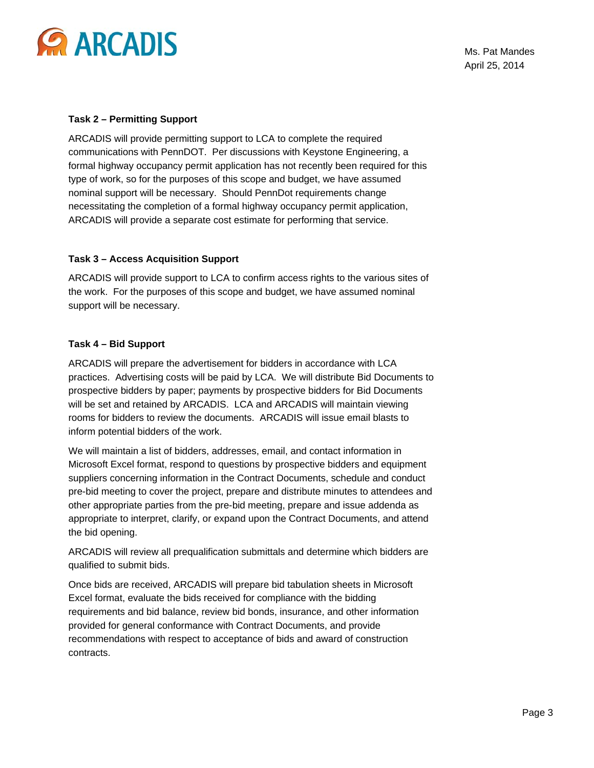

Ms. Pat Mandes April 25, 2014

#### **Task 2 – Permitting Support**

ARCADIS will provide permitting support to LCA to complete the required communications with PennDOT. Per discussions with Keystone Engineering, a formal highway occupancy permit application has not recently been required for this type of work, so for the purposes of this scope and budget, we have assumed nominal support will be necessary. Should PennDot requirements change necessitating the completion of a formal highway occupancy permit application, ARCADIS will provide a separate cost estimate for performing that service.

#### **Task 3 – Access Acquisition Support**

ARCADIS will provide support to LCA to confirm access rights to the various sites of the work. For the purposes of this scope and budget, we have assumed nominal support will be necessary.

#### **Task 4 – Bid Support**

ARCADIS will prepare the advertisement for bidders in accordance with LCA practices. Advertising costs will be paid by LCA. We will distribute Bid Documents to prospective bidders by paper; payments by prospective bidders for Bid Documents will be set and retained by ARCADIS. LCA and ARCADIS will maintain viewing rooms for bidders to review the documents. ARCADIS will issue email blasts to inform potential bidders of the work.

We will maintain a list of bidders, addresses, email, and contact information in Microsoft Excel format, respond to questions by prospective bidders and equipment suppliers concerning information in the Contract Documents, schedule and conduct pre-bid meeting to cover the project, prepare and distribute minutes to attendees and other appropriate parties from the pre-bid meeting, prepare and issue addenda as appropriate to interpret, clarify, or expand upon the Contract Documents, and attend the bid opening.

ARCADIS will review all prequalification submittals and determine which bidders are qualified to submit bids.

Once bids are received, ARCADIS will prepare bid tabulation sheets in Microsoft Excel format, evaluate the bids received for compliance with the bidding requirements and bid balance, review bid bonds, insurance, and other information provided for general conformance with Contract Documents, and provide recommendations with respect to acceptance of bids and award of construction contracts.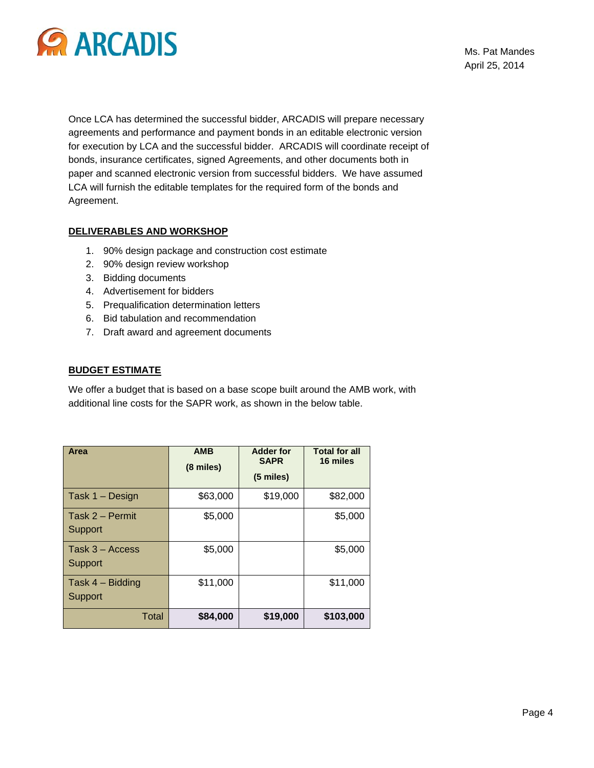

Ms. Pat Mandes April 25, 2014

Once LCA has determined the successful bidder, ARCADIS will prepare necessary agreements and performance and payment bonds in an editable electronic version for execution by LCA and the successful bidder. ARCADIS will coordinate receipt of bonds, insurance certificates, signed Agreements, and other documents both in paper and scanned electronic version from successful bidders. We have assumed LCA will furnish the editable templates for the required form of the bonds and Agreement.

#### **DELIVERABLES AND WORKSHOP**

- 1. 90% design package and construction cost estimate
- 2. 90% design review workshop
- 3. Bidding documents
- 4. Advertisement for bidders
- 5. Prequalification determination letters
- 6. Bid tabulation and recommendation
- 7. Draft award and agreement documents

#### **BUDGET ESTIMATE**

We offer a budget that is based on a base scope built around the AMB work, with additional line costs for the SAPR work, as shown in the below table.

| Area                          | <b>AMB</b><br>(8 miles) | <b>Adder for</b><br><b>SAPR</b><br>(5 miles) | <b>Total for all</b><br>16 miles |
|-------------------------------|-------------------------|----------------------------------------------|----------------------------------|
| Task 1 - Design               | \$63,000                | \$19,000                                     | \$82,000                         |
| Task 2 - Permit<br>Support    | \$5,000                 |                                              | \$5,000                          |
| Task $3 -$ Access<br>Support  | \$5,000                 |                                              | \$5,000                          |
| Task $4 -$ Bidding<br>Support | \$11,000                |                                              | \$11,000                         |
| <b>Total</b>                  | \$84,000                | \$19,000                                     | \$103,000                        |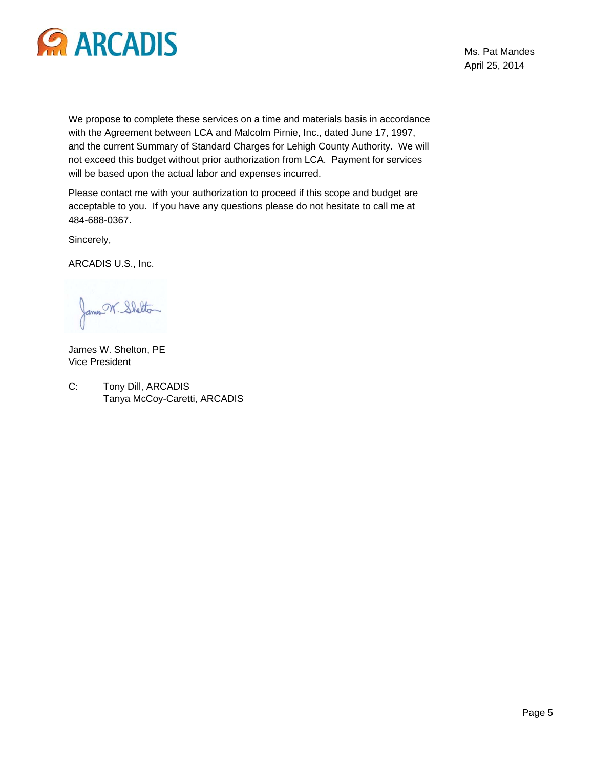

Ms. Pat Mandes April 25, 2014

We propose to complete these services on a time and materials basis in accordance with the Agreement between LCA and Malcolm Pirnie, Inc., dated June 17, 1997, and the current Summary of Standard Charges for Lehigh County Authority. We will not exceed this budget without prior authorization from LCA. Payment for services will be based upon the actual labor and expenses incurred.

Please contact me with your authorization to proceed if this scope and budget are acceptable to you. If you have any questions please do not hesitate to call me at 484-688-0367.

Sincerely,

ARCADIS U.S., Inc.

James N. Shelton

James W. Shelton, PE Vice President

C: Tony Dill, ARCADIS Tanya McCoy-Caretti, ARCADIS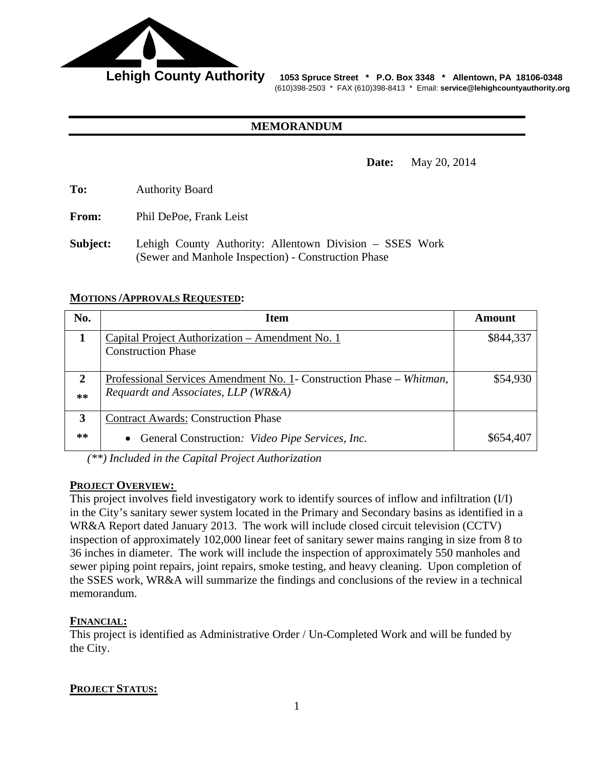

Lehigh County Authority 1053 Spruce Street \* P.O. Box 3348 \* Allentown, PA 18106-0348 (610)398-2503 \* FAX (610)398-8413 \* Email: **service@lehighcountyauthority.org** 

### **MEMORANDUM**

**Date:** May 20, 2014

**To:** Authority Board

**From:** Phil DePoe, Frank Leist

**Subject:** Lehigh County Authority: Allentown Division – SSES Work (Sewer and Manhole Inspection) - Construction Phase

#### **MOTIONS /APPROVALS REQUESTED:**

| No.          | <b>Item</b>                                                          | Amount    |
|--------------|----------------------------------------------------------------------|-----------|
|              | Capital Project Authorization - Amendment No. 1                      | \$844,337 |
|              | <b>Construction Phase</b>                                            |           |
|              |                                                                      |           |
| $\mathbf{2}$ | Professional Services Amendment No. 1- Construction Phase – Whitman, | \$54,930  |
| $**$         | Requardt and Associates, LLP (WR&A)                                  |           |
|              |                                                                      |           |
| 3            | <b>Contract Awards: Construction Phase</b>                           |           |
| $**$         | General Construction: <i>Video Pipe Services, Inc.</i>               | \$654,407 |

*(\*\*) Included in the Capital Project Authorization* 

#### **PROJECT OVERVIEW:**

This project involves field investigatory work to identify sources of inflow and infiltration (I/I) in the City's sanitary sewer system located in the Primary and Secondary basins as identified in a WR&A Report dated January 2013. The work will include closed circuit television (CCTV) inspection of approximately 102,000 linear feet of sanitary sewer mains ranging in size from 8 to 36 inches in diameter. The work will include the inspection of approximately 550 manholes and sewer piping point repairs, joint repairs, smoke testing, and heavy cleaning. Upon completion of the SSES work, WR&A will summarize the findings and conclusions of the review in a technical memorandum.

# **FINANCIAL:**

This project is identified as Administrative Order / Un-Completed Work and will be funded by the City.

# **PROJECT STATUS:**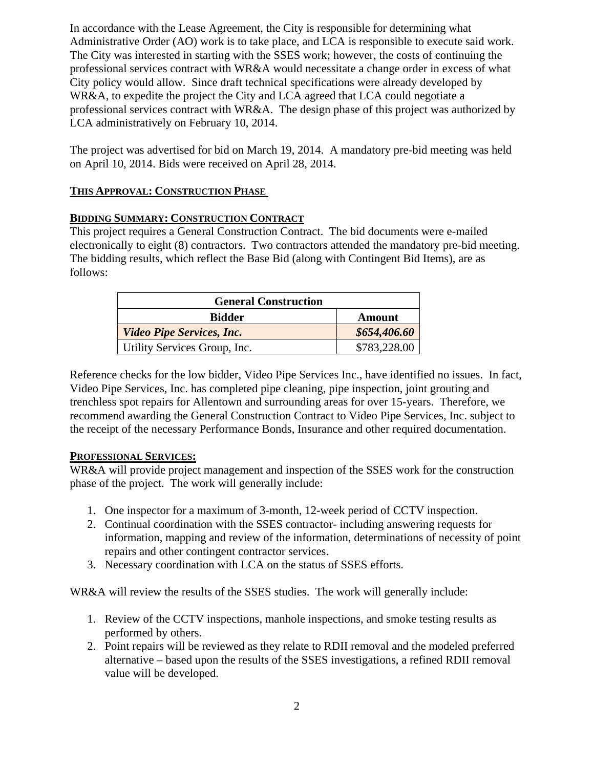In accordance with the Lease Agreement, the City is responsible for determining what Administrative Order (AO) work is to take place, and LCA is responsible to execute said work. The City was interested in starting with the SSES work; however, the costs of continuing the professional services contract with WR&A would necessitate a change order in excess of what City policy would allow. Since draft technical specifications were already developed by WR&A, to expedite the project the City and LCA agreed that LCA could negotiate a professional services contract with WR&A. The design phase of this project was authorized by LCA administratively on February 10, 2014.

The project was advertised for bid on March 19, 2014. A mandatory pre-bid meeting was held on April 10, 2014. Bids were received on April 28, 2014.

# **THIS APPROVAL: CONSTRUCTION PHASE**

# **BIDDING SUMMARY: CONSTRUCTION CONTRACT**

This project requires a General Construction Contract. The bid documents were e-mailed electronically to eight (8) contractors. Two contractors attended the mandatory pre-bid meeting. The bidding results, which reflect the Base Bid (along with Contingent Bid Items), are as follows:

| <b>General Construction</b>      |              |  |
|----------------------------------|--------------|--|
| <b>Bidder</b>                    | Amount       |  |
| <b>Video Pipe Services, Inc.</b> | \$654,406.60 |  |
| Utility Services Group, Inc.     | \$783,228.00 |  |

Reference checks for the low bidder, Video Pipe Services Inc., have identified no issues. In fact, Video Pipe Services, Inc. has completed pipe cleaning, pipe inspection, joint grouting and trenchless spot repairs for Allentown and surrounding areas for over 15-years. Therefore, we recommend awarding the General Construction Contract to Video Pipe Services, Inc. subject to the receipt of the necessary Performance Bonds, Insurance and other required documentation.

# **PROFESSIONAL SERVICES:**

WR&A will provide project management and inspection of the SSES work for the construction phase of the project. The work will generally include:

- 1. One inspector for a maximum of 3-month, 12-week period of CCTV inspection.
- 2. Continual coordination with the SSES contractor- including answering requests for information, mapping and review of the information, determinations of necessity of point repairs and other contingent contractor services.
- 3. Necessary coordination with LCA on the status of SSES efforts.

WR&A will review the results of the SSES studies. The work will generally include:

- 1. Review of the CCTV inspections, manhole inspections, and smoke testing results as performed by others.
- 2. Point repairs will be reviewed as they relate to RDII removal and the modeled preferred alternative – based upon the results of the SSES investigations, a refined RDII removal value will be developed.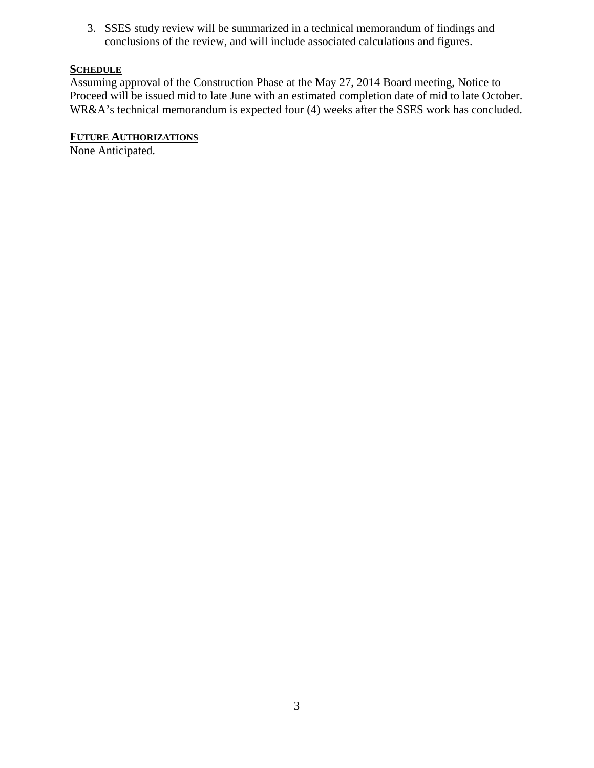3. SSES study review will be summarized in a technical memorandum of findings and conclusions of the review, and will include associated calculations and figures.

# **SCHEDULE**

Assuming approval of the Construction Phase at the May 27, 2014 Board meeting, Notice to Proceed will be issued mid to late June with an estimated completion date of mid to late October. WR&A's technical memorandum is expected four (4) weeks after the SSES work has concluded.

# **FUTURE AUTHORIZATIONS**

None Anticipated.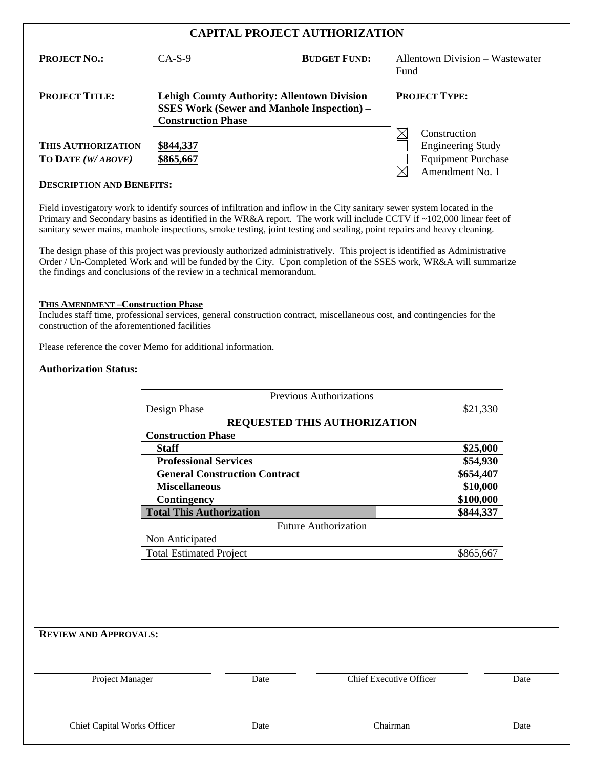| <b>CAPITAL PROJECT AUTHORIZATION</b>           |                                                                                                                                      |                     |                                                                                          |  |
|------------------------------------------------|--------------------------------------------------------------------------------------------------------------------------------------|---------------------|------------------------------------------------------------------------------------------|--|
| <b>PROJECT NO.:</b>                            | $CA-S-9$                                                                                                                             | <b>BUDGET FUND:</b> | <b>Allentown Division - Wastewater</b><br>Fund                                           |  |
| <b>PROJECT TITLE:</b>                          | <b>Lehigh County Authority: Allentown Division</b><br><b>SSES Work (Sewer and Manhole Inspection) –</b><br><b>Construction Phase</b> |                     | <b>PROJECT TYPE:</b>                                                                     |  |
| <b>THIS AUTHORIZATION</b><br>TO DATE (W/ABOVE) | \$844,337<br>\$865,667                                                                                                               |                     | Construction<br><b>Engineering Study</b><br><b>Equipment Purchase</b><br>Amendment No. 1 |  |

#### **DESCRIPTION AND BENEFITS:**

Field investigatory work to identify sources of infiltration and inflow in the City sanitary sewer system located in the Primary and Secondary basins as identified in the WR&A report. The work will include CCTV if ~102,000 linear feet of sanitary sewer mains, manhole inspections, smoke testing, joint testing and sealing, point repairs and heavy cleaning.

The design phase of this project was previously authorized administratively. This project is identified as Administrative Order / Un-Completed Work and will be funded by the City. Upon completion of the SSES work, WR&A will summarize the findings and conclusions of the review in a technical memorandum.

#### **THIS AMENDMENT –Construction Phase**

Includes staff time, professional services, general construction contract, miscellaneous cost, and contingencies for the construction of the aforementioned facilities

Please reference the cover Memo for additional information.

#### **Authorization Status:**

| <b>Previous Authorizations</b>       |           |  |  |
|--------------------------------------|-----------|--|--|
| Design Phase                         | \$21,330  |  |  |
| <b>REQUESTED THIS AUTHORIZATION</b>  |           |  |  |
| <b>Construction Phase</b>            |           |  |  |
| <b>Staff</b>                         | \$25,000  |  |  |
| <b>Professional Services</b>         | \$54,930  |  |  |
| <b>General Construction Contract</b> | \$654,407 |  |  |
| <b>Miscellaneous</b>                 | \$10,000  |  |  |
| Contingency                          | \$100,000 |  |  |
| <b>Total This Authorization</b>      | \$844,337 |  |  |
| <b>Future Authorization</b>          |           |  |  |
| Non Anticipated                      |           |  |  |
| <b>Total Estimated Project</b>       | \$865,667 |  |  |

# **REVIEW AND APPROVALS:**

Project Manager Date Date Chief Executive Officer Date

Chief Capital Works Officer Date Date Chairman Date Chairman Date